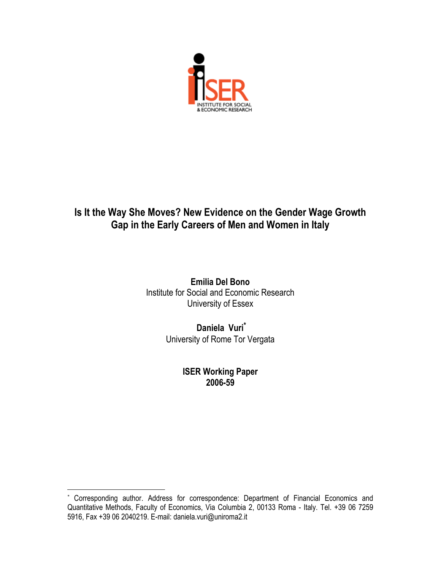

# **Is It the Way She Moves? New Evidence on the Gender Wage Growth Gap in the Early Careers of Men and Women in Italy**

**Emilia Del Bono**  Institute for Social and Economic Research University of Essex

> **Daniela Vuri\*** University of Rome Tor Vergata

> > **ISER Working Paper 2006-59**

 $\overline{a}$ 

Corresponding author. Address for correspondence: Department of Financial Economics and Quantitative Methods, Faculty of Economics, Via Columbia 2, 00133 Roma - Italy. Tel. +39 06 7259 5916, Fax +39 06 2040219. E-mail: daniela.vuri@uniroma2.it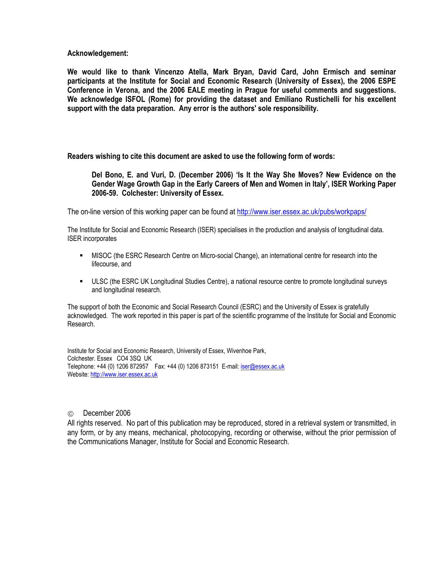**Acknowledgement:** 

**We would like to thank Vincenzo Atella, Mark Bryan, David Card, John Ermisch and seminar participants at the Institute for Social and Economic Research (University of Essex), the 2006 ESPE Conference in Verona, and the 2006 EALE meeting in Prague for useful comments and suggestions. We acknowledge ISFOL (Rome) for providing the dataset and Emiliano Rustichelli for his excellent support with the data preparation. Any error is the authors' sole responsibility.** 

**Readers wishing to cite this document are asked to use the following form of words:** 

**Del Bono, E. and Vuri, D. (December 2006) 'Is It the Way She Moves? New Evidence on the Gender Wage Growth Gap in the Early Careers of Men and Women in Italy', ISER Working Paper 2006-59. Colchester: University of Essex.** 

The on-line version of this working paper can be found at http://www.iser.essex.ac.uk/pubs/workpaps/

The Institute for Social and Economic Research (ISER) specialises in the production and analysis of longitudinal data. ISER incorporates

- MISOC (the ESRC Research Centre on Micro-social Change), an international centre for research into the lifecourse, and
- ULSC (the ESRC UK Longitudinal Studies Centre), a national resource centre to promote longitudinal surveys and longitudinal research.

The support of both the Economic and Social Research Council (ESRC) and the University of Essex is gratefully acknowledged. The work reported in this paper is part of the scientific programme of the Institute for Social and Economic Research.

Institute for Social and Economic Research, University of Essex, Wivenhoe Park, Colchester. Essex CO4 3SQ UK Telephone: +44 (0) 1206 872957 Fax: +44 (0) 1206 873151 E-mail: iser@essex.ac.uk Website: http://www.iser.essex.ac.uk

#### December 2006

All rights reserved. No part of this publication may be reproduced, stored in a retrieval system or transmitted, in any form, or by any means, mechanical, photocopying, recording or otherwise, without the prior permission of the Communications Manager, Institute for Social and Economic Research.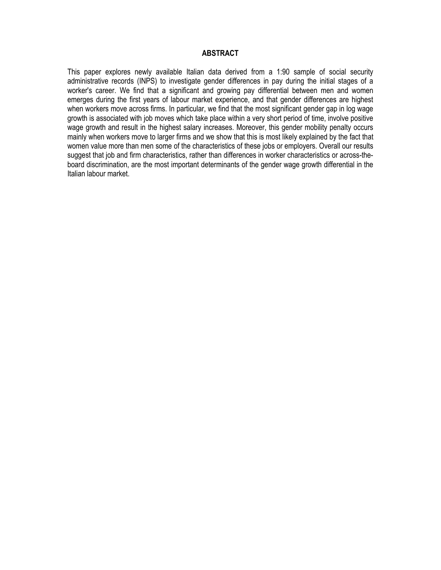### **ABSTRACT**

This paper explores newly available Italian data derived from a 1:90 sample of social security administrative records (INPS) to investigate gender differences in pay during the initial stages of a worker's career. We find that a significant and growing pay differential between men and women emerges during the first years of labour market experience, and that gender differences are highest when workers move across firms. In particular, we find that the most significant gender gap in log wage growth is associated with job moves which take place within a very short period of time, involve positive wage growth and result in the highest salary increases. Moreover, this gender mobility penalty occurs mainly when workers move to larger firms and we show that this is most likely explained by the fact that women value more than men some of the characteristics of these jobs or employers. Overall our results suggest that job and firm characteristics, rather than differences in worker characteristics or across-theboard discrimination, are the most important determinants of the gender wage growth differential in the Italian labour market.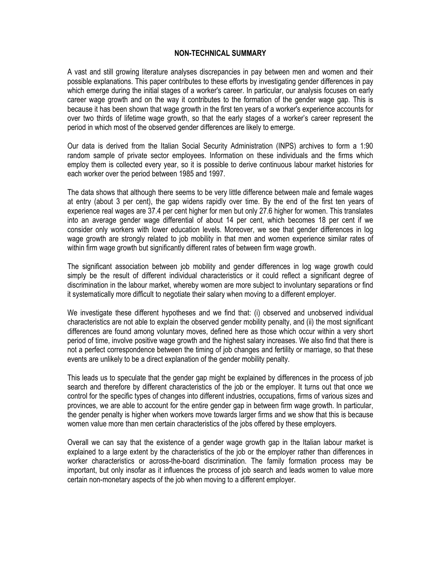### **NON-TECHNICAL SUMMARY**

A vast and still growing literature analyses discrepancies in pay between men and women and their possible explanations. This paper contributes to these efforts by investigating gender differences in pay which emerge during the initial stages of a worker's career. In particular, our analysis focuses on early career wage growth and on the way it contributes to the formation of the gender wage gap. This is because it has been shown that wage growth in the first ten years of a worker's experience accounts for over two thirds of lifetime wage growth, so that the early stages of a worker's career represent the period in which most of the observed gender differences are likely to emerge.

Our data is derived from the Italian Social Security Administration (INPS) archives to form a 1:90 random sample of private sector employees. Information on these individuals and the firms which employ them is collected every year, so it is possible to derive continuous labour market histories for each worker over the period between 1985 and 1997.

The data shows that although there seems to be very little difference between male and female wages at entry (about 3 per cent), the gap widens rapidly over time. By the end of the first ten years of experience real wages are 37.4 per cent higher for men but only 27.6 higher for women. This translates into an average gender wage differential of about 14 per cent, which becomes 18 per cent if we consider only workers with lower education levels. Moreover, we see that gender differences in log wage growth are strongly related to job mobility in that men and women experience similar rates of within firm wage growth but significantly different rates of between firm wage growth.

The significant association between job mobility and gender differences in log wage growth could simply be the result of different individual characteristics or it could reflect a significant degree of discrimination in the labour market, whereby women are more subject to involuntary separations or find it systematically more difficult to negotiate their salary when moving to a different employer.

We investigate these different hypotheses and we find that: (i) observed and unobserved individual characteristics are not able to explain the observed gender mobility penalty, and (ii) the most significant differences are found among voluntary moves, defined here as those which occur within a very short period of time, involve positive wage growth and the highest salary increases. We also find that there is not a perfect correspondence between the timing of job changes and fertility or marriage, so that these events are unlikely to be a direct explanation of the gender mobility penalty.

This leads us to speculate that the gender gap might be explained by differences in the process of job search and therefore by different characteristics of the job or the employer. It turns out that once we control for the specific types of changes into different industries, occupations, firms of various sizes and provinces, we are able to account for the entire gender gap in between firm wage growth. In particular, the gender penalty is higher when workers move towards larger firms and we show that this is because women value more than men certain characteristics of the jobs offered by these employers.

Overall we can say that the existence of a gender wage growth gap in the Italian labour market is explained to a large extent by the characteristics of the job or the employer rather than differences in worker characteristics or across-the-board discrimination. The family formation process may be important, but only insofar as it influences the process of job search and leads women to value more certain non-monetary aspects of the job when moving to a different employer.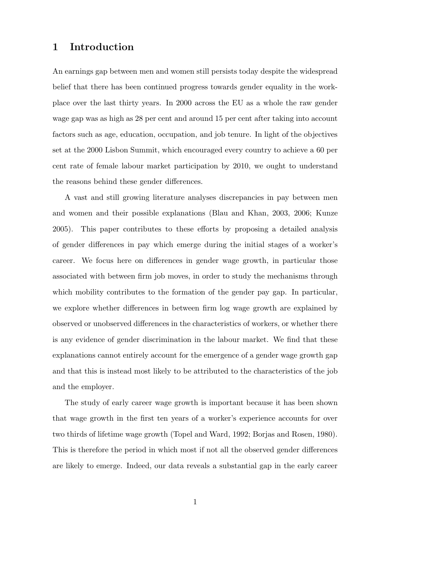### 1 Introduction

An earnings gap between men and women still persists today despite the widespread belief that there has been continued progress towards gender equality in the workplace over the last thirty years. In 2000 across the EU as a whole the raw gender wage gap was as high as 28 per cent and around 15 per cent after taking into account factors such as age, education, occupation, and job tenure. In light of the objectives set at the 2000 Lisbon Summit, which encouraged every country to achieve a 60 per cent rate of female labour market participation by 2010, we ought to understand the reasons behind these gender differences.

A vast and still growing literature analyses discrepancies in pay between men and women and their possible explanations (Blau and Khan, 2003, 2006; Kunze 2005). This paper contributes to these efforts by proposing a detailed analysis of gender differences in pay which emerge during the initial stages of a worker's career. We focus here on differences in gender wage growth, in particular those associated with between firm job moves, in order to study the mechanisms through which mobility contributes to the formation of the gender pay gap. In particular, we explore whether differences in between firm log wage growth are explained by observed or unobserved differences in the characteristics of workers, or whether there is any evidence of gender discrimination in the labour market. We find that these explanations cannot entirely account for the emergence of a gender wage growth gap and that this is instead most likely to be attributed to the characteristics of the job and the employer.

The study of early career wage growth is important because it has been shown that wage growth in the first ten years of a worker's experience accounts for over two thirds of lifetime wage growth (Topel and Ward, 1992; Borjas and Rosen, 1980). This is therefore the period in which most if not all the observed gender differences are likely to emerge. Indeed, our data reveals a substantial gap in the early career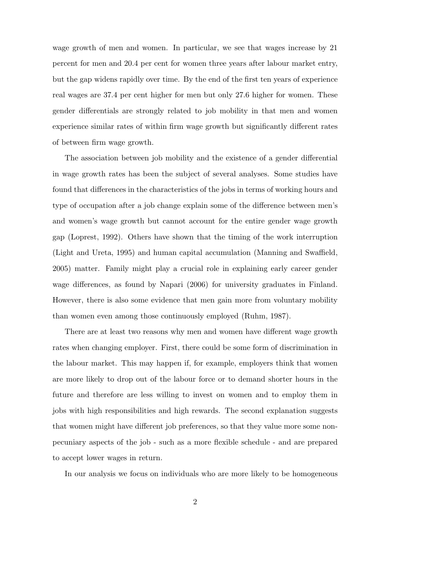wage growth of men and women. In particular, we see that wages increase by 21 percent for men and 20.4 per cent for women three years after labour market entry, but the gap widens rapidly over time. By the end of the first ten years of experience real wages are 37.4 per cent higher for men but only 27.6 higher for women. These gender differentials are strongly related to job mobility in that men and women experience similar rates of within firm wage growth but significantly different rates of between firm wage growth.

The association between job mobility and the existence of a gender differential in wage growth rates has been the subject of several analyses. Some studies have found that differences in the characteristics of the jobs in terms of working hours and type of occupation after a job change explain some of the difference between men's and women's wage growth but cannot account for the entire gender wage growth gap (Loprest, 1992). Others have shown that the timing of the work interruption (Light and Ureta, 1995) and human capital accumulation (Manning and Swaffield, 2005) matter. Family might play a crucial role in explaining early career gender wage differences, as found by Napari (2006) for university graduates in Finland. However, there is also some evidence that men gain more from voluntary mobility than women even among those continuously employed (Ruhm, 1987).

There are at least two reasons why men and women have different wage growth rates when changing employer. First, there could be some form of discrimination in the labour market. This may happen if, for example, employers think that women are more likely to drop out of the labour force or to demand shorter hours in the future and therefore are less willing to invest on women and to employ them in jobs with high responsibilities and high rewards. The second explanation suggests that women might have different job preferences, so that they value more some nonpecuniary aspects of the job - such as a more flexible schedule - and are prepared to accept lower wages in return.

In our analysis we focus on individuals who are more likely to be homogeneous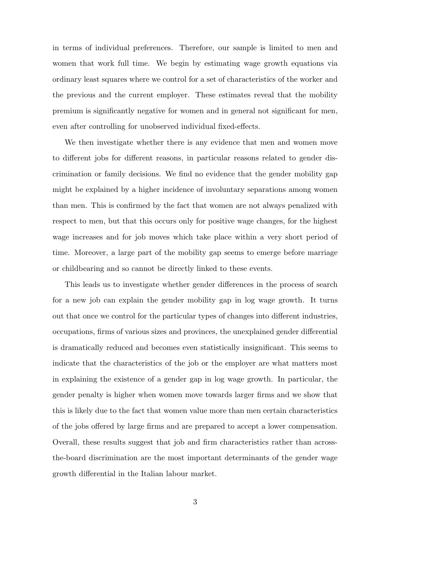in terms of individual preferences. Therefore, our sample is limited to men and women that work full time. We begin by estimating wage growth equations via ordinary least squares where we control for a set of characteristics of the worker and the previous and the current employer. These estimates reveal that the mobility premium is significantly negative for women and in general not significant for men, even after controlling for unobserved individual fixed-effects.

We then investigate whether there is any evidence that men and women move to different jobs for different reasons, in particular reasons related to gender discrimination or family decisions. We find no evidence that the gender mobility gap might be explained by a higher incidence of involuntary separations among women than men. This is confirmed by the fact that women are not always penalized with respect to men, but that this occurs only for positive wage changes, for the highest wage increases and for job moves which take place within a very short period of time. Moreover, a large part of the mobility gap seems to emerge before marriage or childbearing and so cannot be directly linked to these events.

This leads us to investigate whether gender differences in the process of search for a new job can explain the gender mobility gap in log wage growth. It turns out that once we control for the particular types of changes into different industries, occupations, firms of various sizes and provinces, the unexplained gender differential is dramatically reduced and becomes even statistically insignificant. This seems to indicate that the characteristics of the job or the employer are what matters most in explaining the existence of a gender gap in log wage growth. In particular, the gender penalty is higher when women move towards larger firms and we show that this is likely due to the fact that women value more than men certain characteristics of the jobs offered by large firms and are prepared to accept a lower compensation. Overall, these results suggest that job and firm characteristics rather than acrossthe-board discrimination are the most important determinants of the gender wage growth differential in the Italian labour market.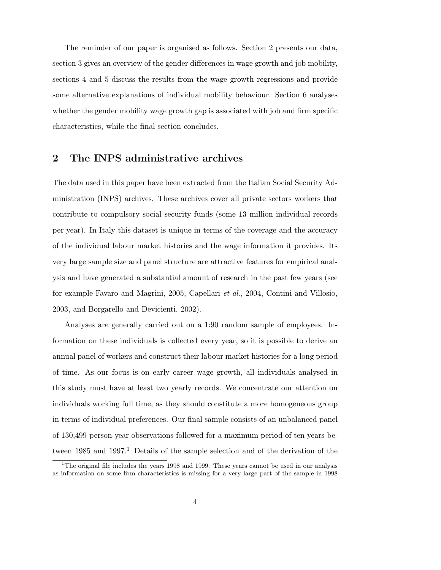The reminder of our paper is organised as follows. Section 2 presents our data, section 3 gives an overview of the gender differences in wage growth and job mobility, sections 4 and 5 discuss the results from the wage growth regressions and provide some alternative explanations of individual mobility behaviour. Section 6 analyses whether the gender mobility wage growth gap is associated with job and firm specific characteristics, while the final section concludes.

## 2 The INPS administrative archives

The data used in this paper have been extracted from the Italian Social Security Administration (INPS) archives. These archives cover all private sectors workers that contribute to compulsory social security funds (some 13 million individual records per year). In Italy this dataset is unique in terms of the coverage and the accuracy of the individual labour market histories and the wage information it provides. Its very large sample size and panel structure are attractive features for empirical analysis and have generated a substantial amount of research in the past few years (see for example Favaro and Magrini, 2005, Capellari et al., 2004, Contini and Villosio, 2003, and Borgarello and Devicienti, 2002).

Analyses are generally carried out on a 1:90 random sample of employees. Information on these individuals is collected every year, so it is possible to derive an annual panel of workers and construct their labour market histories for a long period of time. As our focus is on early career wage growth, all individuals analysed in this study must have at least two yearly records. We concentrate our attention on individuals working full time, as they should constitute a more homogeneous group in terms of individual preferences. Our final sample consists of an unbalanced panel of 130,499 person-year observations followed for a maximum period of ten years between  $1985$  and  $1997<sup>1</sup>$  Details of the sample selection and of the derivation of the

<sup>&</sup>lt;sup>1</sup>The original file includes the years 1998 and 1999. These years cannot be used in our analysis as information on some firm characteristics is missing for a very large part of the sample in 1998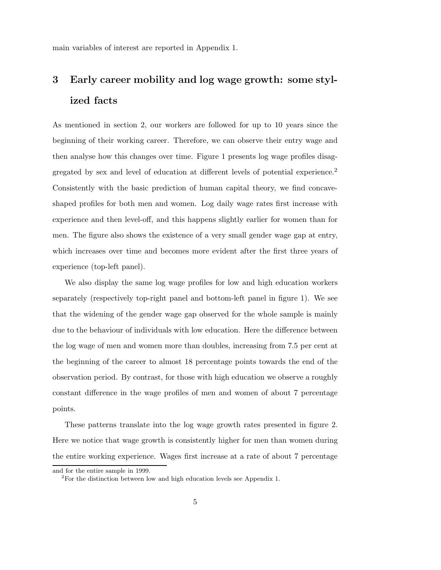main variables of interest are reported in Appendix 1.

# 3 Early career mobility and log wage growth: some stylized facts

As mentioned in section 2, our workers are followed for up to 10 years since the beginning of their working career. Therefore, we can observe their entry wage and then analyse how this changes over time. Figure 1 presents log wage profiles disaggregated by sex and level of education at different levels of potential experience.<sup>2</sup> Consistently with the basic prediction of human capital theory, we find concaveshaped profiles for both men and women. Log daily wage rates first increase with experience and then level-off, and this happens slightly earlier for women than for men. The figure also shows the existence of a very small gender wage gap at entry, which increases over time and becomes more evident after the first three years of experience (top-left panel).

We also display the same log wage profiles for low and high education workers separately (respectively top-right panel and bottom-left panel in figure 1). We see that the widening of the gender wage gap observed for the whole sample is mainly due to the behaviour of individuals with low education. Here the difference between the log wage of men and women more than doubles, increasing from 7.5 per cent at the beginning of the career to almost 18 percentage points towards the end of the observation period. By contrast, for those with high education we observe a roughly constant difference in the wage profiles of men and women of about 7 percentage points.

These patterns translate into the log wage growth rates presented in figure 2. Here we notice that wage growth is consistently higher for men than women during the entire working experience. Wages first increase at a rate of about 7 percentage

and for the entire sample in 1999.

<sup>&</sup>lt;sup>2</sup>For the distinction between low and high education levels see Appendix 1.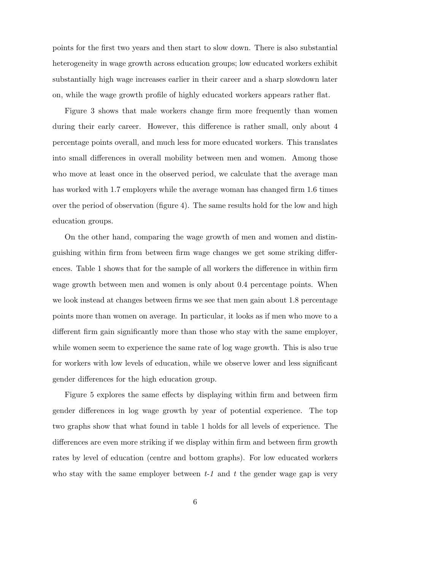points for the first two years and then start to slow down. There is also substantial heterogeneity in wage growth across education groups; low educated workers exhibit substantially high wage increases earlier in their career and a sharp slowdown later on, while the wage growth profile of highly educated workers appears rather flat.

Figure 3 shows that male workers change firm more frequently than women during their early career. However, this difference is rather small, only about 4 percentage points overall, and much less for more educated workers. This translates into small differences in overall mobility between men and women. Among those who move at least once in the observed period, we calculate that the average man has worked with 1.7 employers while the average woman has changed firm 1.6 times over the period of observation (figure 4). The same results hold for the low and high education groups.

On the other hand, comparing the wage growth of men and women and distinguishing within firm from between firm wage changes we get some striking differences. Table 1 shows that for the sample of all workers the difference in within firm wage growth between men and women is only about 0.4 percentage points. When we look instead at changes between firms we see that men gain about 1.8 percentage points more than women on average. In particular, it looks as if men who move to a different firm gain significantly more than those who stay with the same employer, while women seem to experience the same rate of log wage growth. This is also true for workers with low levels of education, while we observe lower and less significant gender differences for the high education group.

Figure 5 explores the same effects by displaying within firm and between firm gender differences in log wage growth by year of potential experience. The top two graphs show that what found in table 1 holds for all levels of experience. The differences are even more striking if we display within firm and between firm growth rates by level of education (centre and bottom graphs). For low educated workers who stay with the same employer between  $t-1$  and  $t$  the gender wage gap is very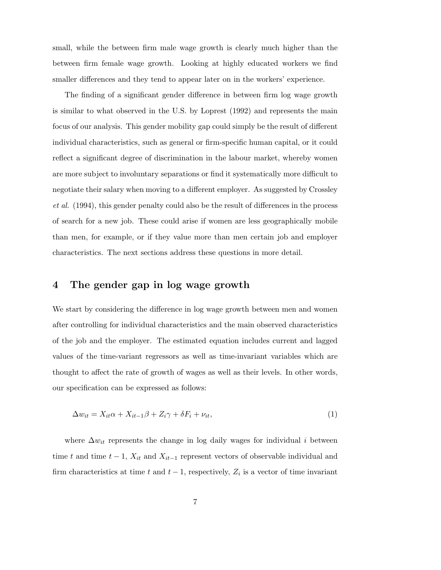small, while the between firm male wage growth is clearly much higher than the between firm female wage growth. Looking at highly educated workers we find smaller differences and they tend to appear later on in the workers' experience.

The finding of a significant gender difference in between firm log wage growth is similar to what observed in the U.S. by Loprest (1992) and represents the main focus of our analysis. This gender mobility gap could simply be the result of different individual characteristics, such as general or firm-specific human capital, or it could reflect a significant degree of discrimination in the labour market, whereby women are more subject to involuntary separations or find it systematically more difficult to negotiate their salary when moving to a different employer. As suggested by Crossley et al. (1994), this gender penalty could also be the result of differences in the process of search for a new job. These could arise if women are less geographically mobile than men, for example, or if they value more than men certain job and employer characteristics. The next sections address these questions in more detail.

### 4 The gender gap in log wage growth

We start by considering the difference in log wage growth between men and women after controlling for individual characteristics and the main observed characteristics of the job and the employer. The estimated equation includes current and lagged values of the time-variant regressors as well as time-invariant variables which are thought to affect the rate of growth of wages as well as their levels. In other words, our specification can be expressed as follows:

$$
\Delta w_{it} = X_{it}\alpha + X_{it-1}\beta + Z_i\gamma + \delta F_i + \nu_{it},\tag{1}
$$

where  $\Delta w_{it}$  represents the change in log daily wages for individual i between time t and time  $t-1$ ,  $X_{it}$  and  $X_{it-1}$  represent vectors of observable individual and firm characteristics at time t and  $t-1$ , respectively,  $Z_i$  is a vector of time invariant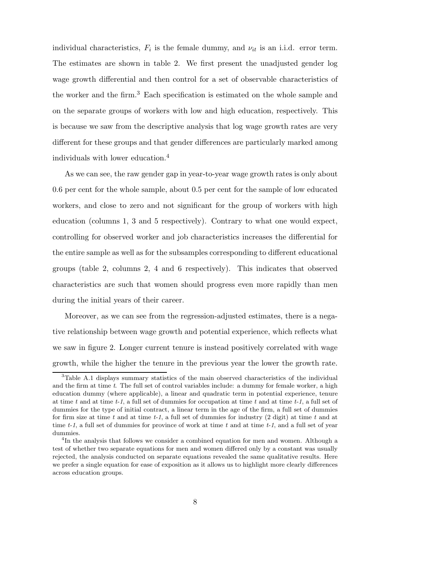individual characteristics,  $F_i$  is the female dummy, and  $\nu_{it}$  is an i.i.d. error term. The estimates are shown in table 2. We first present the unadjusted gender log wage growth differential and then control for a set of observable characteristics of the worker and the firm.<sup>3</sup> Each specification is estimated on the whole sample and on the separate groups of workers with low and high education, respectively. This is because we saw from the descriptive analysis that log wage growth rates are very different for these groups and that gender differences are particularly marked among individuals with lower education.<sup>4</sup>

As we can see, the raw gender gap in year-to-year wage growth rates is only about 0.6 per cent for the whole sample, about 0.5 per cent for the sample of low educated workers, and close to zero and not significant for the group of workers with high education (columns 1, 3 and 5 respectively). Contrary to what one would expect, controlling for observed worker and job characteristics increases the differential for the entire sample as well as for the subsamples corresponding to different educational groups (table 2, columns 2, 4 and 6 respectively). This indicates that observed characteristics are such that women should progress even more rapidly than men during the initial years of their career.

Moreover, as we can see from the regression-adjusted estimates, there is a negative relationship between wage growth and potential experience, which reflects what we saw in figure 2. Longer current tenure is instead positively correlated with wage growth, while the higher the tenure in the previous year the lower the growth rate.

<sup>&</sup>lt;sup>3</sup>Table A.1 displays summary statistics of the main observed characteristics of the individual and the firm at time  $t$ . The full set of control variables include: a dummy for female worker, a high education dummy (where applicable), a linear and quadratic term in potential experience, tenure at time t and at time t-1, a full set of dummies for occupation at time t and at time  $t-1$ , a full set of dummies for the type of initial contract, a linear term in the age of the firm, a full set of dummies for firm size at time t and at time t-1, a full set of dummies for industry  $(2 \text{ digit})$  at time t and at time  $t-1$ , a full set of dummies for province of work at time t and at time  $t-1$ , and a full set of year dummies.

<sup>&</sup>lt;sup>4</sup>In the analysis that follows we consider a combined equation for men and women. Although a test of whether two separate equations for men and women differed only by a constant was usually rejected, the analysis conducted on separate equations revealed the same qualitative results. Here we prefer a single equation for ease of exposition as it allows us to highlight more clearly differences across education groups.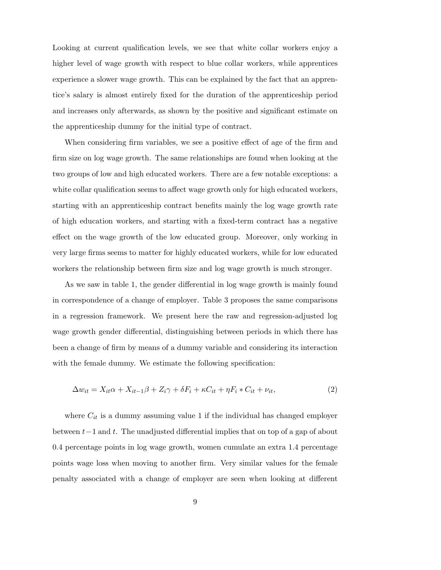Looking at current qualification levels, we see that white collar workers enjoy a higher level of wage growth with respect to blue collar workers, while apprentices experience a slower wage growth. This can be explained by the fact that an apprentice's salary is almost entirely fixed for the duration of the apprenticeship period and increases only afterwards, as shown by the positive and significant estimate on the apprenticeship dummy for the initial type of contract.

When considering firm variables, we see a positive effect of age of the firm and firm size on log wage growth. The same relationships are found when looking at the two groups of low and high educated workers. There are a few notable exceptions: a white collar qualification seems to affect wage growth only for high educated workers, starting with an apprenticeship contract benefits mainly the log wage growth rate of high education workers, and starting with a fixed-term contract has a negative effect on the wage growth of the low educated group. Moreover, only working in very large firms seems to matter for highly educated workers, while for low educated workers the relationship between firm size and log wage growth is much stronger.

As we saw in table 1, the gender differential in log wage growth is mainly found in correspondence of a change of employer. Table 3 proposes the same comparisons in a regression framework. We present here the raw and regression-adjusted log wage growth gender differential, distinguishing between periods in which there has been a change of firm by means of a dummy variable and considering its interaction with the female dummy. We estimate the following specification:

$$
\Delta w_{it} = X_{it}\alpha + X_{it-1}\beta + Z_i\gamma + \delta F_i + \kappa C_{it} + \eta F_i * C_{it} + \nu_{it},\tag{2}
$$

where  $C_{it}$  is a dummy assuming value 1 if the individual has changed employer between  $t-1$  and t. The unadjusted differential implies that on top of a gap of about 0.4 percentage points in log wage growth, women cumulate an extra 1.4 percentage points wage loss when moving to another firm. Very similar values for the female penalty associated with a change of employer are seen when looking at different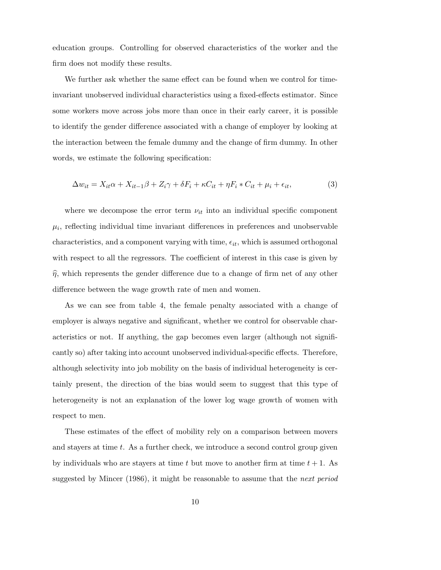education groups. Controlling for observed characteristics of the worker and the firm does not modify these results.

We further ask whether the same effect can be found when we control for timeinvariant unobserved individual characteristics using a fixed-effects estimator. Since some workers move across jobs more than once in their early career, it is possible to identify the gender difference associated with a change of employer by looking at the interaction between the female dummy and the change of firm dummy. In other words, we estimate the following specification:

$$
\Delta w_{it} = X_{it}\alpha + X_{it-1}\beta + Z_i\gamma + \delta F_i + \kappa C_{it} + \eta F_i * C_{it} + \mu_i + \epsilon_{it},\tag{3}
$$

where we decompose the error term  $\nu_{it}$  into an individual specific component  $\mu_i$ , reflecting individual time invariant differences in preferences and unobservable characteristics, and a component varying with time,  $\epsilon_{it}$ , which is assumed orthogonal with respect to all the regressors. The coefficient of interest in this case is given by  $\hat{\eta}$ , which represents the gender difference due to a change of firm net of any other difference between the wage growth rate of men and women.

As we can see from table 4, the female penalty associated with a change of employer is always negative and significant, whether we control for observable characteristics or not. If anything, the gap becomes even larger (although not significantly so) after taking into account unobserved individual-specific effects. Therefore, although selectivity into job mobility on the basis of individual heterogeneity is certainly present, the direction of the bias would seem to suggest that this type of heterogeneity is not an explanation of the lower log wage growth of women with respect to men.

These estimates of the effect of mobility rely on a comparison between movers and stayers at time  $t$ . As a further check, we introduce a second control group given by individuals who are stayers at time t but move to another firm at time  $t + 1$ . As suggested by Mincer (1986), it might be reasonable to assume that the next period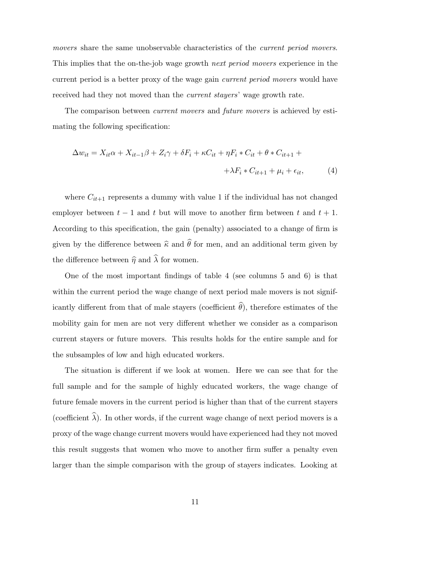movers share the same unobservable characteristics of the *current period movers*. This implies that the on-the-job wage growth next period movers experience in the current period is a better proxy of the wage gain current period movers would have received had they not moved than the current stayers' wage growth rate.

The comparison between *current movers* and *future movers* is achieved by estimating the following specification:

$$
\Delta w_{it} = X_{it}\alpha + X_{it-1}\beta + Z_i\gamma + \delta F_i + \kappa C_{it} + \eta F_i * C_{it} + \theta * C_{it+1} +
$$
  

$$
+ \lambda F_i * C_{it+1} + \mu_i + \epsilon_{it}, \tag{4}
$$

where  $C_{it+1}$  represents a dummy with value 1 if the individual has not changed employer between  $t - 1$  and t but will move to another firm between t and  $t + 1$ . According to this specification, the gain (penalty) associated to a change of firm is given by the difference between  $\hat{\kappa}$  and  $\hat{\theta}$  for men, and an additional term given by the difference between  $\hat{\eta}$  and  $\hat{\lambda}$  for women.

One of the most important findings of table 4 (see columns 5 and 6) is that within the current period the wage change of next period male movers is not significantly different from that of male stayers (coefficient  $\widehat{\theta}$ ), therefore estimates of the mobility gain for men are not very different whether we consider as a comparison current stayers or future movers. This results holds for the entire sample and for the subsamples of low and high educated workers.

The situation is different if we look at women. Here we can see that for the full sample and for the sample of highly educated workers, the wage change of future female movers in the current period is higher than that of the current stayers (coefficient  $\widehat{\lambda}$ ). In other words, if the current wage change of next period movers is a proxy of the wage change current movers would have experienced had they not moved this result suggests that women who move to another firm suffer a penalty even larger than the simple comparison with the group of stayers indicates. Looking at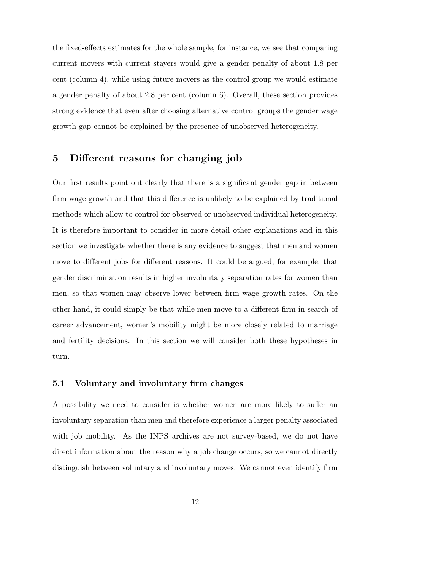the fixed-effects estimates for the whole sample, for instance, we see that comparing current movers with current stayers would give a gender penalty of about 1.8 per cent (column 4), while using future movers as the control group we would estimate a gender penalty of about 2.8 per cent (column 6). Overall, these section provides strong evidence that even after choosing alternative control groups the gender wage growth gap cannot be explained by the presence of unobserved heterogeneity.

# 5 Different reasons for changing job

Our first results point out clearly that there is a significant gender gap in between firm wage growth and that this difference is unlikely to be explained by traditional methods which allow to control for observed or unobserved individual heterogeneity. It is therefore important to consider in more detail other explanations and in this section we investigate whether there is any evidence to suggest that men and women move to different jobs for different reasons. It could be argued, for example, that gender discrimination results in higher involuntary separation rates for women than men, so that women may observe lower between firm wage growth rates. On the other hand, it could simply be that while men move to a different firm in search of career advancement, women's mobility might be more closely related to marriage and fertility decisions. In this section we will consider both these hypotheses in turn.

#### 5.1 Voluntary and involuntary firm changes

A possibility we need to consider is whether women are more likely to suffer an involuntary separation than men and therefore experience a larger penalty associated with job mobility. As the INPS archives are not survey-based, we do not have direct information about the reason why a job change occurs, so we cannot directly distinguish between voluntary and involuntary moves. We cannot even identify firm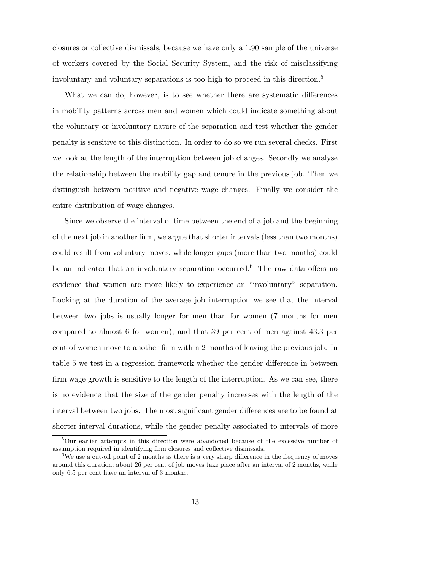closures or collective dismissals, because we have only a 1:90 sample of the universe of workers covered by the Social Security System, and the risk of misclassifying involuntary and voluntary separations is too high to proceed in this direction.<sup>5</sup>

What we can do, however, is to see whether there are systematic differences in mobility patterns across men and women which could indicate something about the voluntary or involuntary nature of the separation and test whether the gender penalty is sensitive to this distinction. In order to do so we run several checks. First we look at the length of the interruption between job changes. Secondly we analyse the relationship between the mobility gap and tenure in the previous job. Then we distinguish between positive and negative wage changes. Finally we consider the entire distribution of wage changes.

Since we observe the interval of time between the end of a job and the beginning of the next job in another firm, we argue that shorter intervals (less than two months) could result from voluntary moves, while longer gaps (more than two months) could be an indicator that an involuntary separation occurred.<sup>6</sup> The raw data offers no evidence that women are more likely to experience an "involuntary" separation. Looking at the duration of the average job interruption we see that the interval between two jobs is usually longer for men than for women (7 months for men compared to almost 6 for women), and that 39 per cent of men against 43.3 per cent of women move to another firm within 2 months of leaving the previous job. In table 5 we test in a regression framework whether the gender difference in between firm wage growth is sensitive to the length of the interruption. As we can see, there is no evidence that the size of the gender penalty increases with the length of the interval between two jobs. The most significant gender differences are to be found at shorter interval durations, while the gender penalty associated to intervals of more

<sup>&</sup>lt;sup>5</sup>Our earlier attempts in this direction were abandoned because of the excessive number of assumption required in identifying firm closures and collective dismissals.

<sup>&</sup>lt;sup>6</sup>We use a cut-off point of 2 months as there is a very sharp difference in the frequency of moves around this duration; about 26 per cent of job moves take place after an interval of 2 months, while only 6.5 per cent have an interval of 3 months.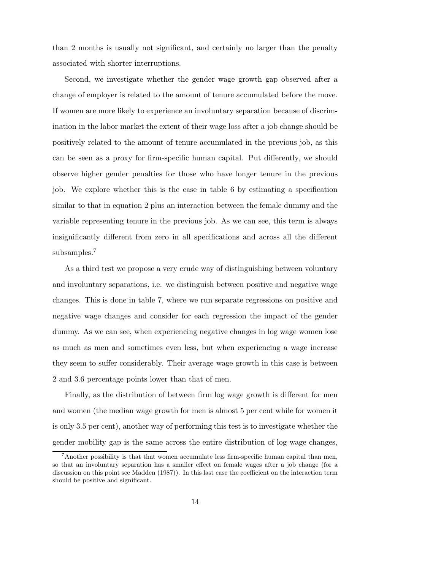than 2 months is usually not significant, and certainly no larger than the penalty associated with shorter interruptions.

Second, we investigate whether the gender wage growth gap observed after a change of employer is related to the amount of tenure accumulated before the move. If women are more likely to experience an involuntary separation because of discrimination in the labor market the extent of their wage loss after a job change should be positively related to the amount of tenure accumulated in the previous job, as this can be seen as a proxy for firm-specific human capital. Put differently, we should observe higher gender penalties for those who have longer tenure in the previous job. We explore whether this is the case in table 6 by estimating a specification similar to that in equation 2 plus an interaction between the female dummy and the variable representing tenure in the previous job. As we can see, this term is always insignificantly different from zero in all specifications and across all the different subsamples.<sup>7</sup>

As a third test we propose a very crude way of distinguishing between voluntary and involuntary separations, i.e. we distinguish between positive and negative wage changes. This is done in table 7, where we run separate regressions on positive and negative wage changes and consider for each regression the impact of the gender dummy. As we can see, when experiencing negative changes in log wage women lose as much as men and sometimes even less, but when experiencing a wage increase they seem to suffer considerably. Their average wage growth in this case is between 2 and 3.6 percentage points lower than that of men.

Finally, as the distribution of between firm log wage growth is different for men and women (the median wage growth for men is almost 5 per cent while for women it is only 3.5 per cent), another way of performing this test is to investigate whether the gender mobility gap is the same across the entire distribution of log wage changes,

<sup>&</sup>lt;sup>7</sup>Another possibility is that that women accumulate less firm-specific human capital than men, so that an involuntary separation has a smaller effect on female wages after a job change (for a discussion on this point see Madden (1987)). In this last case the coefficient on the interaction term should be positive and significant.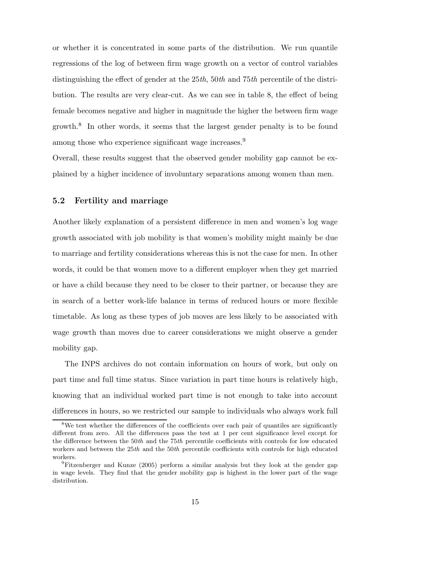or whether it is concentrated in some parts of the distribution. We run quantile regressions of the log of between firm wage growth on a vector of control variables distinguishing the effect of gender at the 25th, 50th and 75th percentile of the distribution. The results are very clear-cut. As we can see in table 8, the effect of being female becomes negative and higher in magnitude the higher the between firm wage growth.<sup>8</sup> In other words, it seems that the largest gender penalty is to be found among those who experience significant wage increases.<sup>9</sup>

Overall, these results suggest that the observed gender mobility gap cannot be explained by a higher incidence of involuntary separations among women than men.

#### 5.2 Fertility and marriage

Another likely explanation of a persistent difference in men and women's log wage growth associated with job mobility is that women's mobility might mainly be due to marriage and fertility considerations whereas this is not the case for men. In other words, it could be that women move to a different employer when they get married or have a child because they need to be closer to their partner, or because they are in search of a better work-life balance in terms of reduced hours or more flexible timetable. As long as these types of job moves are less likely to be associated with wage growth than moves due to career considerations we might observe a gender mobility gap.

The INPS archives do not contain information on hours of work, but only on part time and full time status. Since variation in part time hours is relatively high, knowing that an individual worked part time is not enough to take into account differences in hours, so we restricted our sample to individuals who always work full

<sup>&</sup>lt;sup>8</sup>We test whether the differences of the coefficients over each pair of quantiles are significantly different from zero. All the differences pass the test at 1 per cent significance level except for the difference between the 50th and the 75th percentile coefficients with controls for low educated workers and between the  $25th$  and the  $50th$  percentile coefficients with controls for high educated workers.

<sup>9</sup>Fitzenberger and Kunze (2005) perform a similar analysis but they look at the gender gap in wage levels. They find that the gender mobility gap is highest in the lower part of the wage distribution.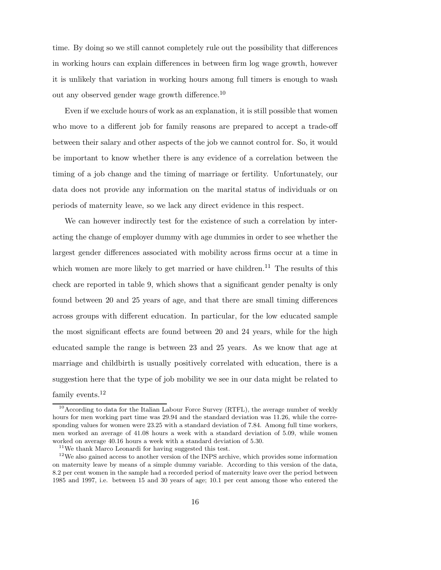time. By doing so we still cannot completely rule out the possibility that differences in working hours can explain differences in between firm log wage growth, however it is unlikely that variation in working hours among full timers is enough to wash out any observed gender wage growth difference.<sup>10</sup>

Even if we exclude hours of work as an explanation, it is still possible that women who move to a different job for family reasons are prepared to accept a trade-off between their salary and other aspects of the job we cannot control for. So, it would be important to know whether there is any evidence of a correlation between the timing of a job change and the timing of marriage or fertility. Unfortunately, our data does not provide any information on the marital status of individuals or on periods of maternity leave, so we lack any direct evidence in this respect.

We can however indirectly test for the existence of such a correlation by interacting the change of employer dummy with age dummies in order to see whether the largest gender differences associated with mobility across firms occur at a time in which women are more likely to get married or have children.<sup>11</sup> The results of this check are reported in table 9, which shows that a significant gender penalty is only found between 20 and 25 years of age, and that there are small timing differences across groups with different education. In particular, for the low educated sample the most significant effects are found between 20 and 24 years, while for the high educated sample the range is between 23 and 25 years. As we know that age at marriage and childbirth is usually positively correlated with education, there is a suggestion here that the type of job mobility we see in our data might be related to family events.<sup>12</sup>

<sup>&</sup>lt;sup>10</sup> According to data for the Italian Labour Force Survey (RTFL), the average number of weekly hours for men working part time was 29.94 and the standard deviation was 11.26, while the corresponding values for women were 23.25 with a standard deviation of 7.84. Among full time workers, men worked an average of 41.08 hours a week with a standard deviation of 5.09, while women worked on average 40.16 hours a week with a standard deviation of 5.30.

<sup>11</sup>We thank Marco Leonardi for having suggested this test.

<sup>&</sup>lt;sup>12</sup>We also gained access to another version of the INPS archive, which provides some information on maternity leave by means of a simple dummy variable. According to this version of the data, 8.2 per cent women in the sample had a recorded period of maternity leave over the period between 1985 and 1997, i.e. between 15 and 30 years of age; 10.1 per cent among those who entered the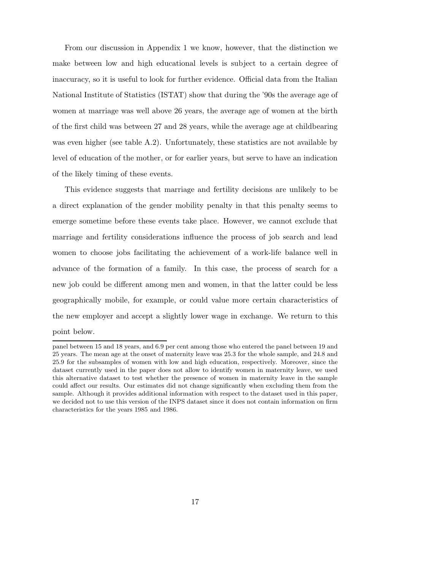From our discussion in Appendix 1 we know, however, that the distinction we make between low and high educational levels is subject to a certain degree of inaccuracy, so it is useful to look for further evidence. Official data from the Italian National Institute of Statistics (ISTAT) show that during the '90s the average age of women at marriage was well above 26 years, the average age of women at the birth of the first child was between 27 and 28 years, while the average age at childbearing was even higher (see table A.2). Unfortunately, these statistics are not available by level of education of the mother, or for earlier years, but serve to have an indication of the likely timing of these events.

This evidence suggests that marriage and fertility decisions are unlikely to be a direct explanation of the gender mobility penalty in that this penalty seems to emerge sometime before these events take place. However, we cannot exclude that marriage and fertility considerations influence the process of job search and lead women to choose jobs facilitating the achievement of a work-life balance well in advance of the formation of a family. In this case, the process of search for a new job could be different among men and women, in that the latter could be less geographically mobile, for example, or could value more certain characteristics of the new employer and accept a slightly lower wage in exchange. We return to this point below.

panel between 15 and 18 years, and 6.9 per cent among those who entered the panel between 19 and 25 years. The mean age at the onset of maternity leave was 25.3 for the whole sample, and 24.8 and 25.9 for the subsamples of women with low and high education, respectively. Moreover, since the dataset currently used in the paper does not allow to identify women in maternity leave, we used this alternative dataset to test whether the presence of women in maternity leave in the sample could affect our results. Our estimates did not change significantly when excluding them from the sample. Although it provides additional information with respect to the dataset used in this paper, we decided not to use this version of the INPS dataset since it does not contain information on firm characteristics for the years 1985 and 1986.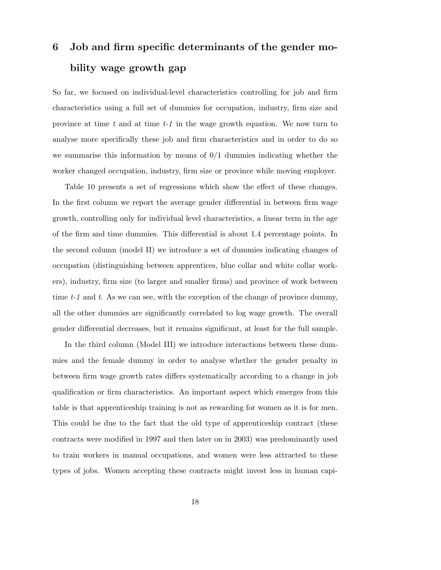# 6 Job and firm specific determinants of the gender mobility wage growth gap

So far, we focused on individual-level characteristics controlling for job and firm characteristics using a full set of dummies for occupation, industry, firm size and province at time  $t$  and at time  $t-1$  in the wage growth equation. We now turn to analyse more specifically these job and firm characteristics and in order to do so we summarise this information by means of  $0/1$  dummies indicating whether the worker changed occupation, industry, firm size or province while moving employer.

Table 10 presents a set of regressions which show the effect of these changes. In the first column we report the average gender differential in between firm wage growth, controlling only for individual level characteristics, a linear term in the age of the firm and time dummies. This differential is about 1.4 percentage points. In the second column (model II) we introduce a set of dummies indicating changes of occupation (distinguishing between apprentices, blue collar and white collar workers), industry, firm size (to larger and smaller firms) and province of work between time  $t-1$  and  $t$ . As we can see, with the exception of the change of province dummy, all the other dummies are significantly correlated to log wage growth. The overall gender differential decreases, but it remains significant, at least for the full sample.

In the third column (Model III) we introduce interactions between these dummies and the female dummy in order to analyse whether the gender penalty in between firm wage growth rates differs systematically according to a change in job qualification or firm characteristics. An important aspect which emerges from this table is that apprenticeship training is not as rewarding for women as it is for men. This could be due to the fact that the old type of apprenticeship contract (these contracts were modified in 1997 and then later on in 2003) was predominantly used to train workers in manual occupations, and women were less attracted to these types of jobs. Women accepting these contracts might invest less in human capi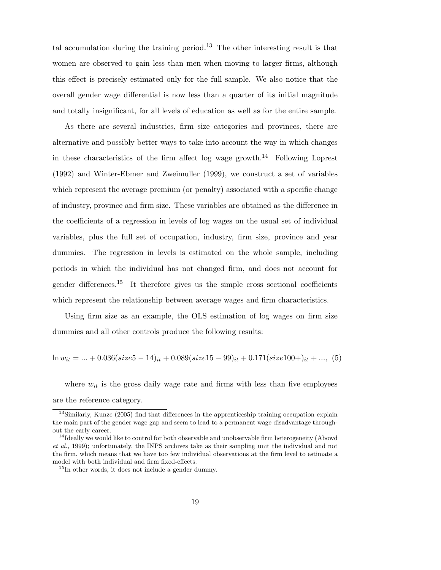tal accumulation during the training period.<sup>13</sup> The other interesting result is that women are observed to gain less than men when moving to larger firms, although this effect is precisely estimated only for the full sample. We also notice that the overall gender wage differential is now less than a quarter of its initial magnitude and totally insignificant, for all levels of education as well as for the entire sample.

As there are several industries, firm size categories and provinces, there are alternative and possibly better ways to take into account the way in which changes in these characteristics of the firm affect log wage growth.<sup>14</sup> Following Loprest (1992) and Winter-Ebmer and Zweimuller (1999), we construct a set of variables which represent the average premium (or penalty) associated with a specific change of industry, province and firm size. These variables are obtained as the difference in the coefficients of a regression in levels of log wages on the usual set of individual variables, plus the full set of occupation, industry, firm size, province and year dummies. The regression in levels is estimated on the whole sample, including periods in which the individual has not changed firm, and does not account for gender differences.<sup>15</sup> It therefore gives us the simple cross sectional coefficients which represent the relationship between average wages and firm characteristics.

Using firm size as an example, the OLS estimation of log wages on firm size dummies and all other controls produce the following results:

$$
\ln w_{it} = ... + 0.036(size5 - 14)_{it} + 0.089(size15 - 99)_{it} + 0.171(size100+)_{it} + ..., (5)
$$

where  $w_{it}$  is the gross daily wage rate and firms with less than five employees are the reference category.

<sup>&</sup>lt;sup>13</sup>Similarly, Kunze (2005) find that differences in the apprenticeship training occupation explain the main part of the gender wage gap and seem to lead to a permanent wage disadvantage throughout the early career.

<sup>&</sup>lt;sup>14</sup>Ideally we would like to control for both observable and unobservable firm heterogeneity (Abowd et al., 1999); unfortunately, the INPS archives take as their sampling unit the individual and not the firm, which means that we have too few individual observations at the firm level to estimate a model with both individual and firm fixed-effects.

<sup>&</sup>lt;sup>15</sup>In other words, it does not include a gender dummy.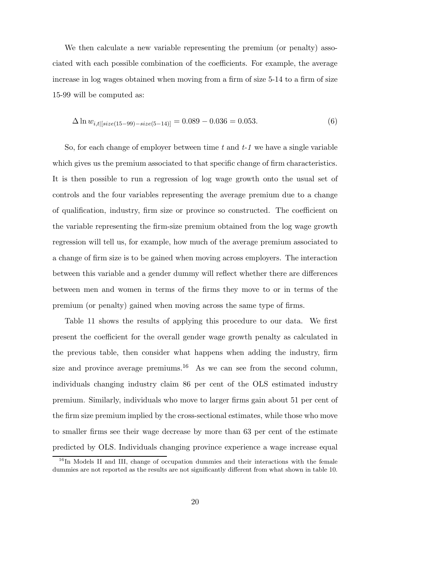We then calculate a new variable representing the premium (or penalty) associated with each possible combination of the coefficients. For example, the average increase in log wages obtained when moving from a firm of size 5-14 to a firm of size 15-99 will be computed as:

$$
\Delta \ln w_{i,t|[size(15-99)-size(5-14)]} = 0.089 - 0.036 = 0.053. \tag{6}
$$

So, for each change of employer between time  $t$  and  $t-1$  we have a single variable which gives us the premium associated to that specific change of firm characteristics. It is then possible to run a regression of log wage growth onto the usual set of controls and the four variables representing the average premium due to a change of qualification, industry, firm size or province so constructed. The coefficient on the variable representing the firm-size premium obtained from the log wage growth regression will tell us, for example, how much of the average premium associated to a change of firm size is to be gained when moving across employers. The interaction between this variable and a gender dummy will reflect whether there are differences between men and women in terms of the firms they move to or in terms of the premium (or penalty) gained when moving across the same type of firms.

Table 11 shows the results of applying this procedure to our data. We first present the coefficient for the overall gender wage growth penalty as calculated in the previous table, then consider what happens when adding the industry, firm size and province average premiums.<sup>16</sup> As we can see from the second column, individuals changing industry claim 86 per cent of the OLS estimated industry premium. Similarly, individuals who move to larger firms gain about 51 per cent of the firm size premium implied by the cross-sectional estimates, while those who move to smaller firms see their wage decrease by more than 63 per cent of the estimate predicted by OLS. Individuals changing province experience a wage increase equal

<sup>&</sup>lt;sup>16</sup>In Models II and III, change of occupation dummies and their interactions with the female dummies are not reported as the results are not significantly different from what shown in table 10.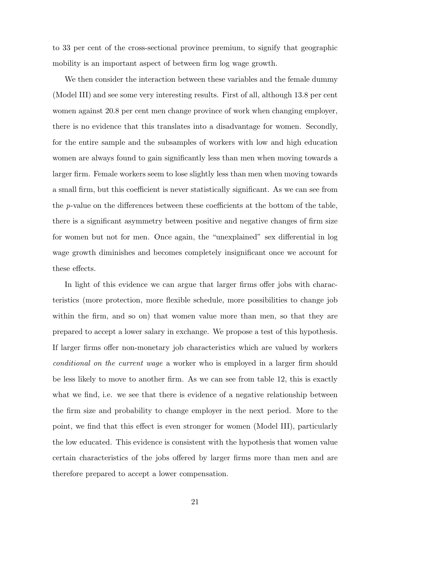to 33 per cent of the cross-sectional province premium, to signify that geographic mobility is an important aspect of between firm log wage growth.

We then consider the interaction between these variables and the female dummy (Model III) and see some very interesting results. First of all, although 13.8 per cent women against 20.8 per cent men change province of work when changing employer, there is no evidence that this translates into a disadvantage for women. Secondly, for the entire sample and the subsamples of workers with low and high education women are always found to gain significantly less than men when moving towards a larger firm. Female workers seem to lose slightly less than men when moving towards a small firm, but this coefficient is never statistically significant. As we can see from the p-value on the differences between these coefficients at the bottom of the table, there is a significant asymmetry between positive and negative changes of firm size for women but not for men. Once again, the "unexplained" sex differential in log wage growth diminishes and becomes completely insignificant once we account for these effects.

In light of this evidence we can argue that larger firms offer jobs with characteristics (more protection, more flexible schedule, more possibilities to change job within the firm, and so on) that women value more than men, so that they are prepared to accept a lower salary in exchange. We propose a test of this hypothesis. If larger firms offer non-monetary job characteristics which are valued by workers conditional on the current wage a worker who is employed in a larger firm should be less likely to move to another firm. As we can see from table 12, this is exactly what we find, i.e. we see that there is evidence of a negative relationship between the firm size and probability to change employer in the next period. More to the point, we find that this effect is even stronger for women (Model III), particularly the low educated. This evidence is consistent with the hypothesis that women value certain characteristics of the jobs offered by larger firms more than men and are therefore prepared to accept a lower compensation.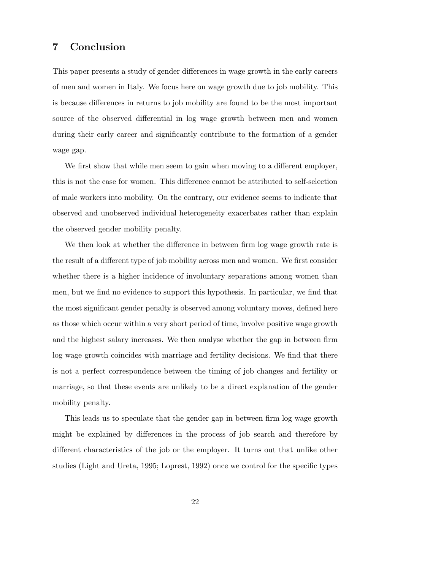# 7 Conclusion

This paper presents a study of gender differences in wage growth in the early careers of men and women in Italy. We focus here on wage growth due to job mobility. This is because differences in returns to job mobility are found to be the most important source of the observed differential in log wage growth between men and women during their early career and significantly contribute to the formation of a gender wage gap.

We first show that while men seem to gain when moving to a different employer, this is not the case for women. This difference cannot be attributed to self-selection of male workers into mobility. On the contrary, our evidence seems to indicate that observed and unobserved individual heterogeneity exacerbates rather than explain the observed gender mobility penalty.

We then look at whether the difference in between firm log wage growth rate is the result of a different type of job mobility across men and women. We first consider whether there is a higher incidence of involuntary separations among women than men, but we find no evidence to support this hypothesis. In particular, we find that the most significant gender penalty is observed among voluntary moves, defined here as those which occur within a very short period of time, involve positive wage growth and the highest salary increases. We then analyse whether the gap in between firm log wage growth coincides with marriage and fertility decisions. We find that there is not a perfect correspondence between the timing of job changes and fertility or marriage, so that these events are unlikely to be a direct explanation of the gender mobility penalty.

This leads us to speculate that the gender gap in between firm log wage growth might be explained by differences in the process of job search and therefore by different characteristics of the job or the employer. It turns out that unlike other studies (Light and Ureta, 1995; Loprest, 1992) once we control for the specific types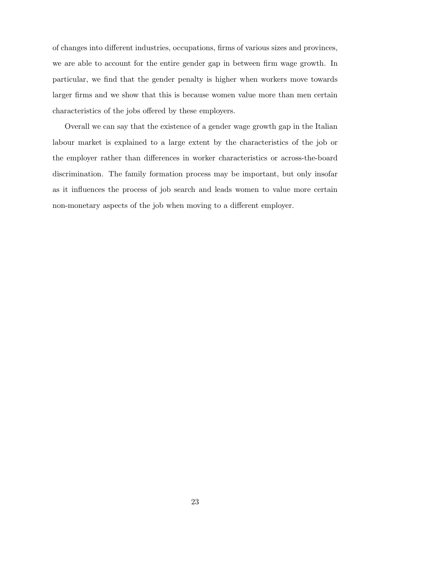of changes into different industries, occupations, firms of various sizes and provinces, we are able to account for the entire gender gap in between firm wage growth. In particular, we find that the gender penalty is higher when workers move towards larger firms and we show that this is because women value more than men certain characteristics of the jobs offered by these employers.

Overall we can say that the existence of a gender wage growth gap in the Italian labour market is explained to a large extent by the characteristics of the job or the employer rather than differences in worker characteristics or across-the-board discrimination. The family formation process may be important, but only insofar as it influences the process of job search and leads women to value more certain non-monetary aspects of the job when moving to a different employer.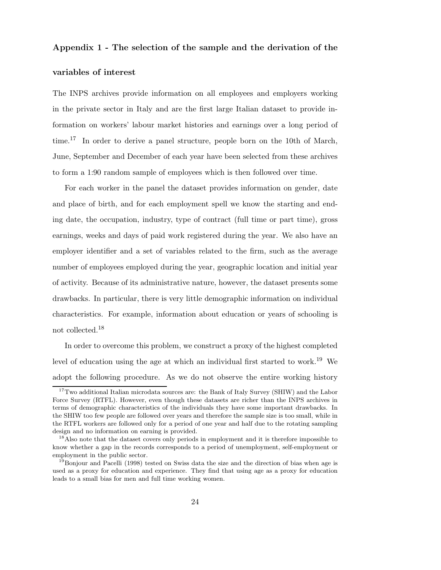### Appendix 1 - The selection of the sample and the derivation of the

#### variables of interest

The INPS archives provide information on all employees and employers working in the private sector in Italy and are the first large Italian dataset to provide information on workers' labour market histories and earnings over a long period of time.<sup>17</sup> In order to derive a panel structure, people born on the 10th of March, June, September and December of each year have been selected from these archives to form a 1:90 random sample of employees which is then followed over time.

For each worker in the panel the dataset provides information on gender, date and place of birth, and for each employment spell we know the starting and ending date, the occupation, industry, type of contract (full time or part time), gross earnings, weeks and days of paid work registered during the year. We also have an employer identifier and a set of variables related to the firm, such as the average number of employees employed during the year, geographic location and initial year of activity. Because of its administrative nature, however, the dataset presents some drawbacks. In particular, there is very little demographic information on individual characteristics. For example, information about education or years of schooling is not collected.<sup>18</sup>

In order to overcome this problem, we construct a proxy of the highest completed level of education using the age at which an individual first started to work.<sup>19</sup> We adopt the following procedure. As we do not observe the entire working history

 $17$ Two additional Italian microdata sources are: the Bank of Italy Survey (SHIW) and the Labor Force Survey (RTFL). However, even though these datasets are richer than the INPS archives in terms of demographic characteristics of the individuals they have some important drawbacks. In the SHIW too few people are followed over years and therefore the sample size is too small, while in the RTFL workers are followed only for a period of one year and half due to the rotating sampling design and no information on earning is provided.

<sup>&</sup>lt;sup>18</sup>Also note that the dataset covers only periods in employment and it is therefore impossible to know whether a gap in the records corresponds to a period of unemployment, self-employment or employment in the public sector.

<sup>&</sup>lt;sup>19</sup>Bonjour and Pacelli (1998) tested on Swiss data the size and the direction of bias when age is used as a proxy for education and experience. They find that using age as a proxy for education leads to a small bias for men and full time working women.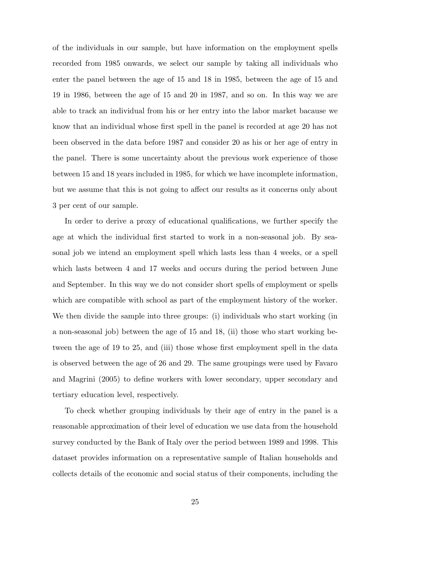of the individuals in our sample, but have information on the employment spells recorded from 1985 onwards, we select our sample by taking all individuals who enter the panel between the age of 15 and 18 in 1985, between the age of 15 and 19 in 1986, between the age of 15 and 20 in 1987, and so on. In this way we are able to track an individual from his or her entry into the labor market bacause we know that an individual whose first spell in the panel is recorded at age 20 has not been observed in the data before 1987 and consider 20 as his or her age of entry in the panel. There is some uncertainty about the previous work experience of those between 15 and 18 years included in 1985, for which we have incomplete information, but we assume that this is not going to affect our results as it concerns only about 3 per cent of our sample.

In order to derive a proxy of educational qualifications, we further specify the age at which the individual first started to work in a non-seasonal job. By seasonal job we intend an employment spell which lasts less than 4 weeks, or a spell which lasts between 4 and 17 weeks and occurs during the period between June and September. In this way we do not consider short spells of employment or spells which are compatible with school as part of the employment history of the worker. We then divide the sample into three groups: (i) individuals who start working (in a non-seasonal job) between the age of 15 and 18, (ii) those who start working between the age of 19 to 25, and (iii) those whose first employment spell in the data is observed between the age of 26 and 29. The same groupings were used by Favaro and Magrini (2005) to define workers with lower secondary, upper secondary and tertiary education level, respectively.

To check whether grouping individuals by their age of entry in the panel is a reasonable approximation of their level of education we use data from the household survey conducted by the Bank of Italy over the period between 1989 and 1998. This dataset provides information on a representative sample of Italian households and collects details of the economic and social status of their components, including the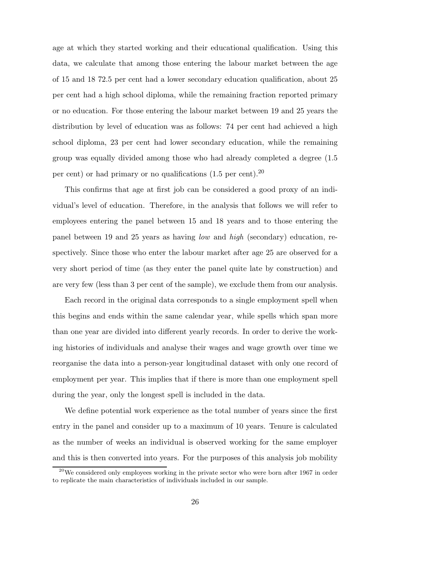age at which they started working and their educational qualification. Using this data, we calculate that among those entering the labour market between the age of 15 and 18 72.5 per cent had a lower secondary education qualification, about 25 per cent had a high school diploma, while the remaining fraction reported primary or no education. For those entering the labour market between 19 and 25 years the distribution by level of education was as follows: 74 per cent had achieved a high school diploma, 23 per cent had lower secondary education, while the remaining group was equally divided among those who had already completed a degree (1.5 per cent) or had primary or no qualifications  $(1.5 \text{ per cent})^{20}$ 

This confirms that age at first job can be considered a good proxy of an individual's level of education. Therefore, in the analysis that follows we will refer to employees entering the panel between 15 and 18 years and to those entering the panel between 19 and 25 years as having low and high (secondary) education, respectively. Since those who enter the labour market after age 25 are observed for a very short period of time (as they enter the panel quite late by construction) and are very few (less than 3 per cent of the sample), we exclude them from our analysis.

Each record in the original data corresponds to a single employment spell when this begins and ends within the same calendar year, while spells which span more than one year are divided into different yearly records. In order to derive the working histories of individuals and analyse their wages and wage growth over time we reorganise the data into a person-year longitudinal dataset with only one record of employment per year. This implies that if there is more than one employment spell during the year, only the longest spell is included in the data.

We define potential work experience as the total number of years since the first entry in the panel and consider up to a maximum of 10 years. Tenure is calculated as the number of weeks an individual is observed working for the same employer and this is then converted into years. For the purposes of this analysis job mobility

 $^{20}$ We considered only employees working in the private sector who were born after 1967 in order to replicate the main characteristics of individuals included in our sample.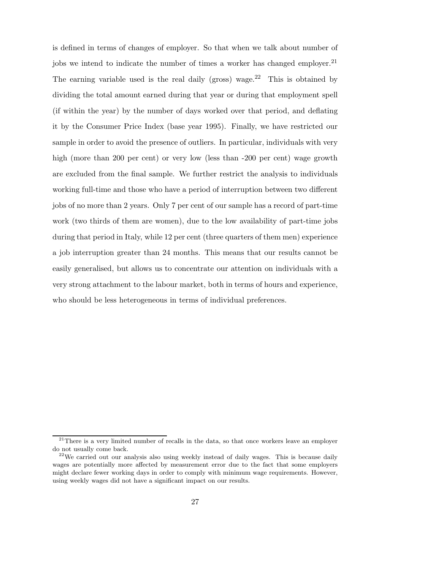is defined in terms of changes of employer. So that when we talk about number of jobs we intend to indicate the number of times a worker has changed employer.<sup>21</sup> The earning variable used is the real daily (gross) wage.<sup>22</sup> This is obtained by dividing the total amount earned during that year or during that employment spell (if within the year) by the number of days worked over that period, and deflating it by the Consumer Price Index (base year 1995). Finally, we have restricted our sample in order to avoid the presence of outliers. In particular, individuals with very high (more than 200 per cent) or very low (less than -200 per cent) wage growth are excluded from the final sample. We further restrict the analysis to individuals working full-time and those who have a period of interruption between two different jobs of no more than 2 years. Only 7 per cent of our sample has a record of part-time work (two thirds of them are women), due to the low availability of part-time jobs during that period in Italy, while 12 per cent (three quarters of them men) experience a job interruption greater than 24 months. This means that our results cannot be easily generalised, but allows us to concentrate our attention on individuals with a very strong attachment to the labour market, both in terms of hours and experience, who should be less heterogeneous in terms of individual preferences.

 $21$ There is a very limited number of recalls in the data, so that once workers leave an employer do not usually come back.

 $2<sup>22</sup>$ We carried out our analysis also using weekly instead of daily wages. This is because daily wages are potentially more affected by measurement error due to the fact that some employers might declare fewer working days in order to comply with minimum wage requirements. However, using weekly wages did not have a significant impact on our results.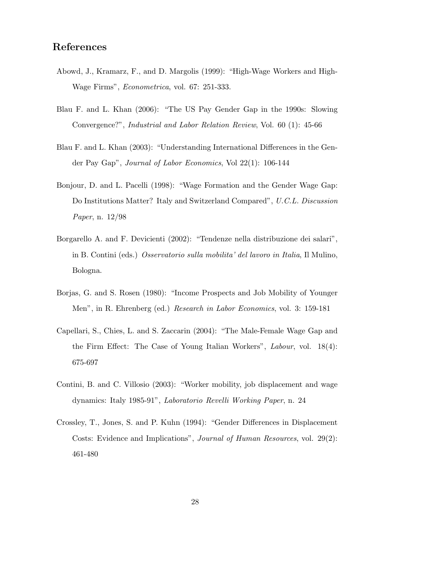# References

- Abowd, J., Kramarz, F., and D. Margolis (1999): "High-Wage Workers and High-Wage Firms", Econometrica, vol. 67: 251-333.
- Blau F. and L. Khan (2006): "The US Pay Gender Gap in the 1990s: Slowing Convergence?", Industrial and Labor Relation Review, Vol. 60 (1): 45-66
- Blau F. and L. Khan (2003): "Understanding International Differences in the Gender Pay Gap", Journal of Labor Economics, Vol 22(1): 106-144
- Bonjour, D. and L. Pacelli (1998): "Wage Formation and the Gender Wage Gap: Do Institutions Matter? Italy and Switzerland Compared", U.C.L. Discussion Paper, n. 12/98
- Borgarello A. and F. Devicienti (2002): "Tendenze nella distribuzione dei salari", in B. Contini (eds.) Osservatorio sulla mobilita' del lavoro in Italia, Il Mulino, Bologna.
- Borjas, G. and S. Rosen (1980): "Income Prospects and Job Mobility of Younger Men", in R. Ehrenberg (ed.) Research in Labor Economics, vol. 3: 159-181
- Capellari, S., Chies, L. and S. Zaccarin (2004): "The Male-Female Wage Gap and the Firm Effect: The Case of Young Italian Workers", Labour, vol. 18(4): 675-697
- Contini, B. and C. Villosio (2003): "Worker mobility, job displacement and wage dynamics: Italy 1985-91", Laboratorio Revelli Working Paper, n. 24
- Crossley, T., Jones, S. and P. Kuhn (1994): "Gender Differences in Displacement Costs: Evidence and Implications", Journal of Human Resources, vol. 29(2): 461-480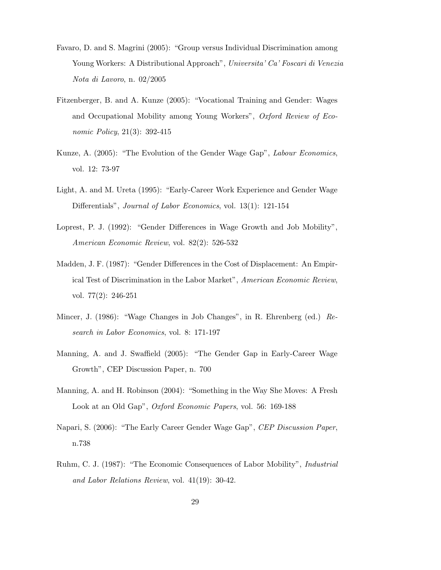- Favaro, D. and S. Magrini (2005): "Group versus Individual Discrimination among Young Workers: A Distributional Approach", Universita' Ca' Foscari di Venezia Nota di Lavoro, n. 02/2005
- Fitzenberger, B. and A. Kunze (2005): "Vocational Training and Gender: Wages and Occupational Mobility among Young Workers", Oxford Review of Economic Policy, 21(3): 392-415
- Kunze, A. (2005): "The Evolution of the Gender Wage Gap", Labour Economics, vol. 12: 73-97
- Light, A. and M. Ureta (1995): "Early-Career Work Experience and Gender Wage Differentials", Journal of Labor Economics, vol. 13(1): 121-154
- Loprest, P. J. (1992): "Gender Differences in Wage Growth and Job Mobility", American Economic Review, vol. 82(2): 526-532
- Madden, J. F. (1987): "Gender Differences in the Cost of Displacement: An Empirical Test of Discrimination in the Labor Market", American Economic Review, vol. 77(2): 246-251
- Mincer, J. (1986): "Wage Changes in Job Changes", in R. Ehrenberg (ed.) Research in Labor Economics, vol. 8: 171-197
- Manning, A. and J. Swaffield (2005): "The Gender Gap in Early-Career Wage Growth", CEP Discussion Paper, n. 700
- Manning, A. and H. Robinson (2004): "Something in the Way She Moves: A Fresh Look at an Old Gap", *Oxford Economic Papers*, vol. 56: 169-188
- Napari, S. (2006): "The Early Career Gender Wage Gap", CEP Discussion Paper, n.738
- Ruhm, C. J. (1987): "The Economic Consequences of Labor Mobility", Industrial and Labor Relations Review, vol. 41(19): 30-42.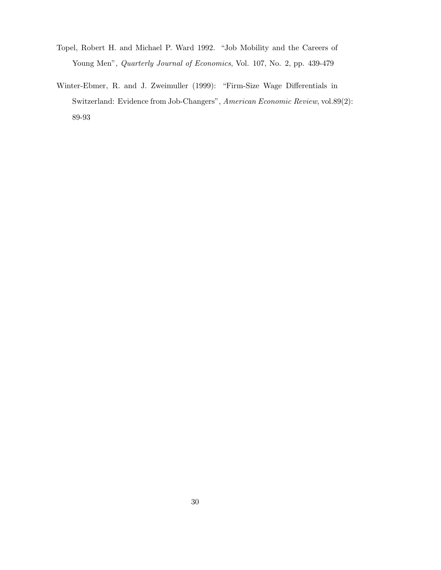- Topel, Robert H. and Michael P. Ward 1992. "Job Mobility and the Careers of Young Men", Quarterly Journal of Economics, Vol. 107, No. 2, pp. 439-479
- Winter-Ebmer, R. and J. Zweimuller (1999): "Firm-Size Wage Differentials in Switzerland: Evidence from Job-Changers", American Economic Review, vol.89(2): 89-93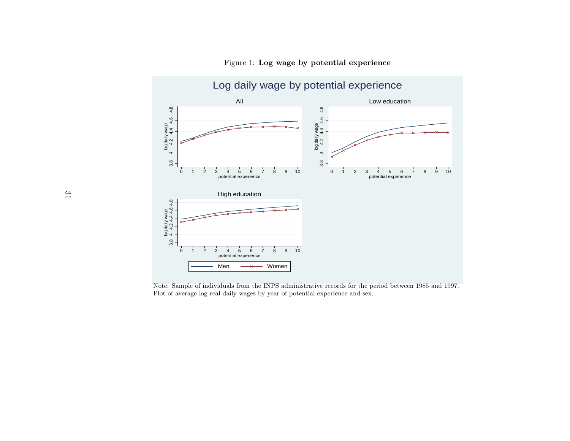

Figure 1: Log wage by potential experience

Note: Sample of individuals from the INPS administrative records for the period between <sup>1985</sup> and 1997. Plot of average log real daily wages by year of potential experience and sex.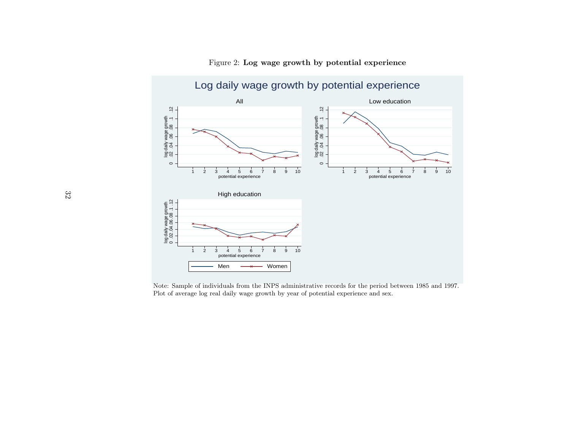

Figure 2: Log wage growth by potential experience

Note: Sample of individuals from the INPS administrative records for the period between <sup>1985</sup> and 1997. Plot of average log real daily wage growth by year of potential experience and sex.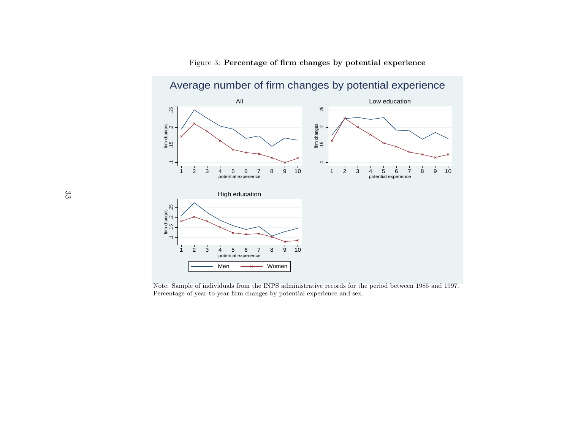

Figure 3: Percentage of firm changes by potential experience

Note: Sample of individuals from the INPS administrative records for the period between <sup>1985</sup> and 1997. Percentage of year-to-year firm changes by potential experience and sex.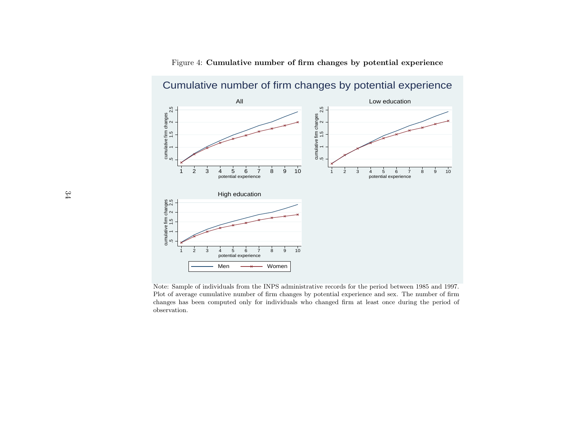

Figure 4: Cumulative number of firm changes by potential experience

Note: Sample of individuals from the INPS administrative records for the period between <sup>1985</sup> and 1997. Plot of average cumulative number of firm changes by potential experience and sex. The number of firm changes has been computed only for individuals who changed firm at least once during the period of observation.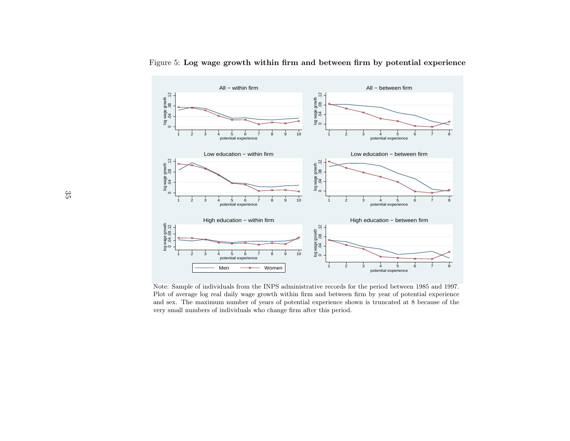

Figure 5: Log wage growth within firm and between firm by potential experience

Note: Sample of individuals from the INPS administrative records for the period between <sup>1985</sup> and 1997. Plot of average log real daily wage growth within firm and between firm by year of potential experience and sex. The maximum number of years of potential experience shown is truncated at <sup>8</sup> because of the very small numbers of individuals who change firm after this period.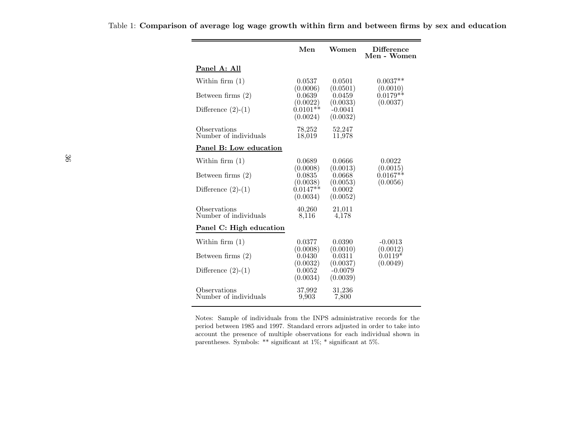|                                       | Men                                | Women                          | <b>Difference</b><br>Men - Women  |
|---------------------------------------|------------------------------------|--------------------------------|-----------------------------------|
| Panel A: All                          |                                    |                                |                                   |
| Within firm $(1)$                     | 0.0537<br>(0.0006)                 | 0.0501<br>(0.0501)             | $0.0037**$<br>(0.0010)            |
| Between firms $(2)$                   | 0.0639<br>(0.0022)                 | 0.0459<br>(0.0033)             | $0.0179**$<br>(0.0037)            |
| Difference $(2)-(1)$                  | $0.0101**$<br>(0.0024)             | $-0.0041$<br>(0.0032)          |                                   |
| Observations<br>Number of individuals | 78,252<br>18,019                   | 52,247<br>11,978               |                                   |
| Panel B: Low education                |                                    |                                |                                   |
| Within firm $(1)$                     | 0.0689                             | 0.0666                         | 0.0022                            |
| Between firms $(2)$                   | (0.0008)<br>0.0835                 | (0.0013)<br>0.0668             | (0.0015)<br>$0.0167**$            |
| Difference $(2)-(1)$                  | (0.0038)<br>$0.0147**$<br>(0.0034) | (0.0053)<br>0.0002<br>(0.0052) | (0.0056)                          |
| Observations<br>Number of individuals | 40,260<br>8.116                    | 21,011<br>4,178                |                                   |
| Panel C: High education               |                                    |                                |                                   |
| Within firm $(1)$                     | 0.0377                             | 0.0390                         | $-0.0013$                         |
| Between firms $(2)$                   | (0.0008)<br>0.0430<br>(0.0032)     | (0.0010)<br>0.0311<br>(0.0037) | (0.0012)<br>$0.0119*$<br>(0.0049) |
| Difference $(2)-(1)$                  | 0.0052<br>(0.0034)                 | $-0.0079$<br>(0.0039)          |                                   |
| Observations<br>Number of individuals | 37,992<br>9,903                    | 31,236<br>7,800                |                                   |

Table 1: Comparison of average log wage growth within firm and between firms by sex and education

Notes: Sample of individuals from the INPS administrative records for the period between <sup>1985</sup> and 1997. Standard errors adjusted in order to take into account the presence of multiple observations for each individual shown inparentheses. Symbols: \*\* significant at 1%; \* significant at 5%.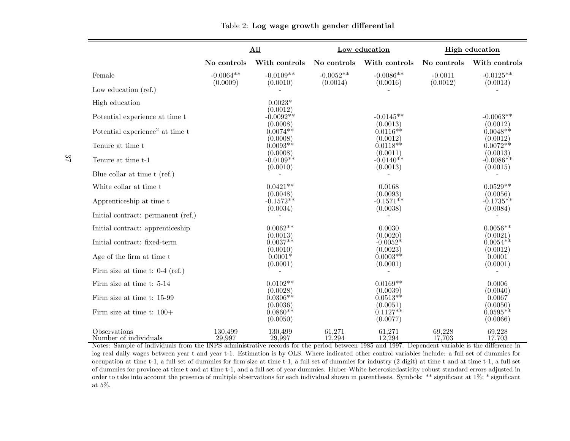|                                             |                   | All                                |                                    | Low education                                     | <b>High education</b> |                                    |  |
|---------------------------------------------|-------------------|------------------------------------|------------------------------------|---------------------------------------------------|-----------------------|------------------------------------|--|
|                                             | No controls       | With controls                      | No controls                        | With controls                                     | No controls           | With controls                      |  |
| Female                                      | $-0.0064**$       | $-0.0109**$                        | $-0.0052**$                        | $-0.0086**$                                       | $-0.0011$             | $-0.0125**$                        |  |
| Low education (ref.)                        | (0.0009)          | (0.0010)                           | (0.0014)                           | (0.0016)                                          | (0.0012)              | (0.0013)                           |  |
| High education                              |                   | $0.0023*$                          |                                    |                                                   |                       |                                    |  |
| Potential experience at time t              |                   | (0.0012)<br>$-0.0092**$            |                                    | $-0.0145**$                                       |                       | $-0.0063**$                        |  |
| Potential experience <sup>2</sup> at time t |                   | (0.0008)<br>$0.0074**$             |                                    | (0.0013)<br>$0.0116**$                            |                       | (0.0012)<br>$0.0048**$             |  |
| Tenure at time t                            |                   | (0.0008)<br>$0.0093**$             |                                    | (0.0012)<br>$0.0118**$<br>$(0.0011)$<br>-0.0140** |                       | (0.0012)<br>$0.0072**$             |  |
| Tenure at time t-1                          |                   | (0.0008)<br>$-0.0109**$            |                                    | $(0.0013)$<br>-0.0086**                           |                       |                                    |  |
| Blue collar at time t (ref.)                |                   | (0.0010)                           |                                    | (0.0013)                                          |                       | (0.0015)                           |  |
| White collar at time t                      |                   | $0.0421**$                         |                                    | 0.0168<br>(0.0093)                                |                       | $0.0529**$                         |  |
| Apprenticeship at time t                    |                   | (0.0048)<br>$-0.1572**$            |                                    | $(0.0056)$<br>$-0.1735**$                         |                       |                                    |  |
| Initial contract: permanent (ref.)          |                   | (0.0034)                           |                                    | (0.0038)                                          |                       | (0.0084)                           |  |
| Initial contract: apprenticeship            |                   | $0.0062**$<br>(0.0013)             |                                    | 0.0030<br>(0.0020)                                |                       | $0.0056**$<br>(0.0021)             |  |
| Initial contract: fixed-term                |                   | $0.0037**$                         |                                    | $-0.0052*$                                        |                       | $0.0054**$                         |  |
| Age of the firm at time t                   |                   | (0.0010)<br>$0.0001*$              |                                    | (0.0023)<br>$0.0003**$                            |                       | (0.0012)<br>0.0001                 |  |
| Firm size at time t: $0-4$ (ref.)           |                   | (0.0001)                           |                                    | (0.0001)                                          |                       | (0.0001)                           |  |
| Firm size at time t: 5-14                   |                   | $0.0102**$<br>(0.0028)             |                                    | $0.0169**$<br>(0.0039)                            |                       | 0.0006<br>(0.0040)                 |  |
| Firm size at time t: 15-99                  |                   | $0.0306**$                         |                                    | $0.0513**$                                        |                       | 0.0067                             |  |
| Firm size at time t: $100+$                 |                   | (0.0036)<br>$0.0860**$<br>(0.0050) | (0.0051)<br>$0.1127**$<br>(0.0077) |                                                   |                       | (0.0050)<br>$0.0595**$<br>(0.0066) |  |
| Observations<br>Number of individuals       | 130.499<br>29,997 | 130,499<br>29,997                  | 61,271<br>12,294                   | 61,271<br>12,294                                  | 69,228<br>17,703      | 69,228<br>17,703                   |  |

Table 2: Log wage growth gender differential

Number of individuals 29,997 29,997 29,997 12,294 12,294 17,703 17,703<br>Notes: Sample of individuals from the INPS administrative records for the period between 1985 and 1997. Dependent variable is the difference in log real daily wages between year <sup>t</sup> and year t-1. Estimation is by OLS. Where indicated other control variables include: <sup>a</sup> full set of dummies for occupation at time t-1, <sup>a</sup> full set of dummies for firm size at time t-1, <sup>a</sup> full set of dummies for industry (2 digit) at time <sup>t</sup> and at time t-1, <sup>a</sup> full set of dummies for province at time <sup>t</sup> and at time t-1, and <sup>a</sup> full set of year dummies. Huber-White heteroskedasticity robust standard errors adjusted in order to take into account the presence of multiple observations for each individual shown in parentheses. Symbols: \*\* significant at 1%; \* significantat 5%.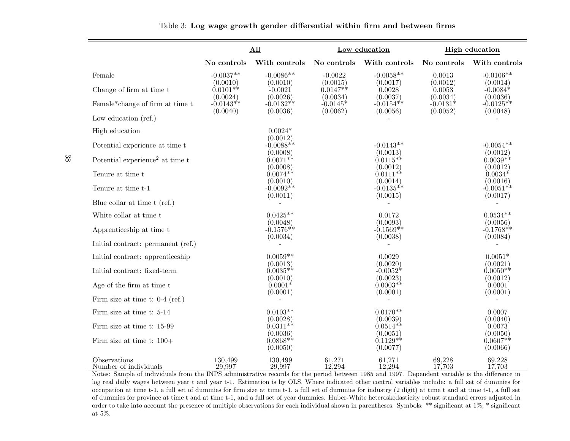|                                                         |                                     | All                                 |                                    | Low education                       |                                | <b>High education</b>               |
|---------------------------------------------------------|-------------------------------------|-------------------------------------|------------------------------------|-------------------------------------|--------------------------------|-------------------------------------|
|                                                         | No controls                         | With controls                       | No controls                        | With controls                       | No controls                    | With controls                       |
| Female                                                  | $-0.0037**$                         | $-0.0086**$                         | $-0.0022$                          | $-0.0058**$                         | 0.0013                         | $-0.0106**$                         |
| Change of firm at time t                                | (0.0010)<br>$0.0101**$              | (0.0010)<br>$-0.0021$<br>(0.0026)   | (0.0015)<br>$0.0147**$             | (0.0017)<br>0.0028                  | (0.0012)<br>0.0053<br>(0.0034) | (0.0014)<br>$-0.0084*$              |
| Female*change of firm at time $\ensuremath{\mathbf{t}}$ | (0.0024)<br>$-0.0143**$<br>(0.0040) | $-0.0132**$<br>(0.0036)             | (0.0034)<br>$-0.0145*$<br>(0.0062) | (0.0037)<br>$-0.0154**$<br>(0.0056) | -0.0131 $^*$<br>(0.0052)       | (0.0036)<br>$-0.0125**$<br>(0.0048) |
| Low education $(ref.)$                                  |                                     |                                     |                                    |                                     |                                |                                     |
| High education                                          |                                     | $0.0024*$<br>(0.0012)               |                                    |                                     |                                |                                     |
| Potential experience at time t                          |                                     | $-0.0088**$                         |                                    | $-0.0143**$                         |                                | $-0.0054**$                         |
| Potential experience <sup>2</sup> at time t             |                                     | (0.0008)<br>$0.0071**$              |                                    | (0.0013)<br>$0.0115**$              |                                | (0.0012)<br>$0.0039**$              |
| Tenure at time t                                        |                                     | (0.0008)<br>$0.0074**$              |                                    | (0.0012)<br>$0.0111**$              |                                | (0.0012)<br>$0.0034*$               |
| Tenure at time t-1                                      |                                     | (0.0010)<br>$-0.0092**$             |                                    | (0.0014)<br>$-0.0135**$             |                                | (0.0016)<br>$-0.0051**$             |
| Blue collar at time t (ref.)                            |                                     | (0.0011)                            |                                    | (0.0015)                            |                                | (0.0017)                            |
| White collar at time t                                  |                                     | $0.0425**$                          |                                    | 0.0172                              |                                | $0.0534**$                          |
| Apprenticeship at time t                                |                                     | (0.0048)<br>$-0.1576**$<br>(0.0034) |                                    | (0.0093)<br>$-0.1569**$<br>(0.0038) |                                | (0.0056)<br>$-0.1768**$<br>(0.0084) |
| Initial contract: permanent (ref.)                      |                                     |                                     |                                    |                                     |                                |                                     |
| Initial contract: apprenticeship                        |                                     | $0.0059**$                          |                                    | 0.0029                              |                                | $0.0051*$                           |
| Initial contract: fixed-term                            |                                     | (0.0013)<br>$0.0035**$              |                                    | (0.0020)<br>$-0.0052*$              |                                | (0.0021)<br>$0.0050**$              |
| Age of the firm at time t                               |                                     | (0.0010)<br>$0.0001*$               |                                    | (0.0023)<br>$0.0003**$              |                                | (0.0012)<br>0.0001                  |
| Firm size at time t: $0-4$ (ref.)                       |                                     | (0.0001)                            |                                    | (0.0001)                            |                                | (0.0001)                            |
| Firm size at time t: 5-14                               |                                     | $0.0103**$                          |                                    | $0.0170**$                          |                                | 0.0007                              |
| Firm size at time t: 15-99                              |                                     | (0.0028)<br>$0.0311**$              |                                    | (0.0039)<br>$0.0514**$              |                                | (0.0040)<br>0.0073                  |
| Firm size at time t: $100+$                             |                                     | (0.0036)<br>$0.0868**$<br>(0.0050)  |                                    | (0.0051)<br>$0.1129**$<br>(0.0077)  |                                | (0.0050)<br>$0.0607**$<br>(0.0066)  |
| Observations<br>Number of individuals                   | 130,499<br>29.997                   | 130,499<br>29.997                   | 61,271<br>12.294                   | 61,271<br>12.294                    | 69,228<br>17.703               | 69,228<br>17.703                    |

Table 3: Log wage growth gender differential within firm and between firms

Number of individuals 29,997 29,997 29,997 12,294 17,703 17,703 17,703<br>Notes: Sample of individuals from the INPS administrative records for the period between 1985 and 1997. Dependent variable is the difference in log real daily wages between year <sup>t</sup> and year t-1. Estimation is by OLS. Where indicated other control variables include: <sup>a</sup> full set of dummies for occupation at time t-1, <sup>a</sup> full set of dummies for firm size at time t-1, <sup>a</sup> full set of dummies for industry (2 digit) at time <sup>t</sup> and at time t-1, <sup>a</sup> full set of dummies for province at time <sup>t</sup> and at time t-1, and <sup>a</sup> full set of year dummies. Huber-White heteroskedasticity robust standard errors adjusted in order to take into account the presence of multiple observations for each individual shown in parentheses. Symbols: \*\* significant at 1%; \* significantat 5%.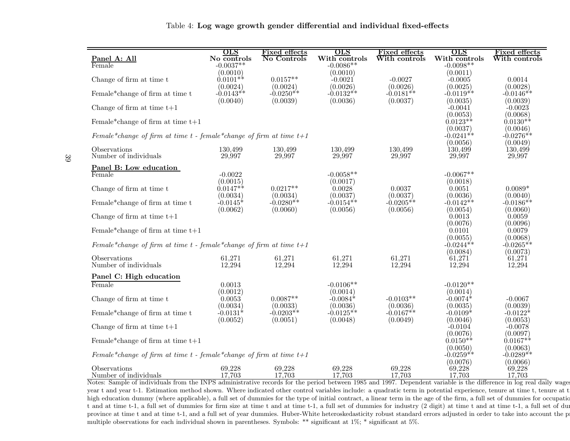| Table 4: Log wage growth gender differential and individual fixed-effects |  |  |  |
|---------------------------------------------------------------------------|--|--|--|
|---------------------------------------------------------------------------|--|--|--|

| Panel A: All                                                                                                                                                         | $_{\rm OLS}$<br>No controls        | Fixed effects<br>No Controls | <b>OLS</b><br>With controls         | Fixed effects<br>With controls      | $_{\rm OLS}$<br>With controls       | <b>Fixed effects</b><br>With controls |
|----------------------------------------------------------------------------------------------------------------------------------------------------------------------|------------------------------------|------------------------------|-------------------------------------|-------------------------------------|-------------------------------------|---------------------------------------|
| Female                                                                                                                                                               | $-0.0037**$                        |                              | $-0.0086**$                         |                                     | $-0.0098**$                         |                                       |
| Change of firm at time t                                                                                                                                             | (0.0010)<br>$0.0101**$             | $0.0157**$                   | (0.0010)<br>$-0.0021$               | $-0.0027$                           | (0.0011)<br>$-0.0005$               | 0.0014                                |
| Female*change of firm at time t                                                                                                                                      | (0.0024)<br>$-0.0143**$            | (0.0024)<br>$-0.0250**$      | (0.0026)<br>$-0.0132**$             | (0.0026)<br>$-0.0181**$             | (0.0025)<br>$-0.0119**$             | (0.0028)<br>$-0.0146**$               |
| Change of firm at time $t+1$                                                                                                                                         | (0.0040)                           | (0.0039)                     | (0.0036)                            | (0.0037)                            | (0.0035)<br>$-0.0041$               | (0.0039)<br>$-0.0023$                 |
| Female*change of firm at time $t+1$                                                                                                                                  |                                    |                              |                                     |                                     | (0.0053)<br>$0.0123**$              | (0.0068)<br>$0.0130**$                |
| Female*change of firm at time $t$ - female*change of firm at time $t+1$                                                                                              |                                    |                              |                                     |                                     | (0.0037)<br>$-0.0241**$             | (0.0046)<br>$-0.0276**$               |
| Observations<br>Number of individuals                                                                                                                                | 130,499<br>29,997                  | 130,499<br>29,997            | 130,499<br>29,997                   | 130,499<br>29,997                   | (0.0056)<br>130,499<br>29,997       | (0.0049)<br>130,499<br>29,997         |
| Panel B: Low education<br>Female                                                                                                                                     | $-0.0022$                          |                              | $-0.0058**$                         |                                     | $-0.0067**$                         |                                       |
| Change of firm at time t                                                                                                                                             | (0.0015)<br>$0.0147**$             | $0.0217**$<br>(0.0034)       | (0.0017)<br>0.0028                  | 0.0037                              | (0.0018)<br>0.0051                  | $0.0089*$                             |
| Female*change of firm at time t                                                                                                                                      | (0.0034)<br>$-0.0145*$<br>(0.0062) | $-0.0280**$<br>(0.0060)      | (0.0037)<br>$-0.0154**$<br>(0.0056) | (0.0037)<br>$-0.0205**$<br>(0.0056) | (0.0036)<br>$-0.0142**$<br>(0.0054) | (0.0040)<br>$-0.0186**$<br>(0.0060)   |
| Change of firm at time $t+1$                                                                                                                                         |                                    |                              |                                     |                                     | 0.0013<br>(0.0076)                  | 0.0059<br>(0.0096)                    |
| Female* change of firm at time $t+1$                                                                                                                                 |                                    |                              |                                     |                                     | 0.0101<br>(0.0055)                  | 0.0079<br>(0.0068)                    |
| Female*change of firm at time $t$ - female*change of firm at time $t+1$                                                                                              |                                    |                              |                                     |                                     | $-0.0244**$<br>(0.0084)             | $-0.0265**$<br>(0.0073)               |
| Observations<br>Number of individuals                                                                                                                                | 61,271<br>12,294                   | 61,271<br>12,294             | 61,271<br>12,294                    | 61,271<br>12,294                    | 61,271<br>12,294                    | 61,271<br>12,294                      |
| Panel C: High education                                                                                                                                              |                                    |                              |                                     |                                     |                                     |                                       |
| Female                                                                                                                                                               | 0.0013<br>(0.0012)                 |                              | $-0.0106**$<br>(0.0014)             |                                     | $-0.0120**$<br>(0.0014)             |                                       |
| Change of firm at time t                                                                                                                                             | 0.0053                             | $0.0087**$                   | $-0.0084*$                          | $-0.0103**$                         | $-0.0074*$                          | $-0.0067$                             |
| Female*change of firm at time t                                                                                                                                      | (0.0034)<br>$-0.0131*$             | (0.0033)<br>$-0.0203**$      | (0.0036)<br>$-0.0125**$             | (0.0036)<br>$-0.0167**$             | (0.0035)<br>$-0.0109*$              | (0.0039)<br>$-0.0122*$                |
| Change of firm at time $t+1$                                                                                                                                         | (0.0052)                           | (0.0051)                     | (0.0048)                            | (0.0049)                            | (0.0046)<br>$-0.0104$<br>(0.0076)   | (0.0053)<br>$-0.0078$<br>(0.0097)     |
| Female*change of firm at time $t+1$                                                                                                                                  |                                    |                              |                                     |                                     | $0.0150**$<br>(0.0050)              | $0.0167**$<br>(0.0063)                |
| Female*change of firm at time $t$ - female*change of firm at time $t+1$                                                                                              |                                    |                              |                                     |                                     | $-0.0259**$<br>(0.0076)             | $-0.0289**$<br>(0.0066)               |
| Observations<br>Number of individuals                                                                                                                                | 69,228<br>17,703                   | 69,228<br>17,703             | 69,228<br>17,703                    | 69,228<br>17,703                    | 69,228<br>17,703                    | 69,228<br>17,703                      |
| Notes: Sample of individuals from the INPS administrative records for the period between 1985 and 1997. Dependent variable is the difference in log real daily wages |                                    |                              |                                     |                                     |                                     |                                       |

 year <sup>t</sup> and year t-1. Estimation method shown. Where indicated other control variables include: <sup>a</sup> quadratic term in potential experience, tenure at time t, tenure at timehigh education dummy (where applicable), a full set of dummies for the type of initial contract, a linear term in the age of the firm, a full set of dummies for occupation <sup>t</sup> and at time t-1, <sup>a</sup> full set of dummies for firm size at time <sup>t</sup> and at time t-1, <sup>a</sup> full set of dummies for industry (2 digit) at time <sup>t</sup> and at time t-1, <sup>a</sup> full set of dummies province at time t and at time t-1, and a full set of year dummies. Huber-White heteroskedasticity robust standard errors adjusted in order to take into account the pr multiple observations for each individual shown in parentheses. Symbols: \*\* significant at 1%; \* significant at 5%.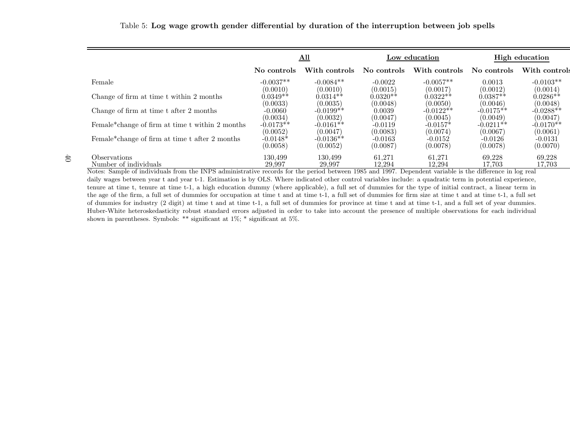|                                                 | <u>All</u>                          |                                     |                                   | Low education                      | High education                      |                                     |
|-------------------------------------------------|-------------------------------------|-------------------------------------|-----------------------------------|------------------------------------|-------------------------------------|-------------------------------------|
|                                                 | No controls                         | With controls                       | No controls                       | With controls                      | No controls                         | With controls                       |
| Female                                          | $-0.0037**$                         | $-0.0084**$                         | $-0.0022$                         | $-0.0057**$                        | 0.0013                              | $-0.0103**$                         |
| Change of firm at time t within 2 months        | (0.0010)<br>$0.0349**$              | (0.0010)<br>$0.0314**$              | (0.0015)<br>$0.0320**$            | (0.0017)<br>$0.0322**$             | (0.0012)<br>$0.0387**$              | (0.0014)<br>$0.0286**$              |
| Change of firm at time t after 2 months         | (0.0033)<br>$-0.0060$               | (0.0035)<br>$-0.0199**$             | (0.0048)<br>0.0039                | (0.0050)<br>$-0.0122**$            | (0.0046)<br>$-0.0175**$             | (0.0048)<br>$-0.0288**$             |
| Female*change of firm at time t within 2 months | (0.0034)<br>$-0.0173**$<br>(0.0052) | (0.0032)<br>$-0.0161**$<br>(0.0047) | (0.0047)<br>$-0.0119$<br>(0.0083) | (0.0045)<br>$-0.0157*$<br>(0.0074) | (0.0049)<br>$-0.0211**$<br>(0.0067) | (0.0047)<br>$-0.0170**$<br>(0.0061) |

 $(0.0052)$   $(0.0047)$   $(0.0083)$   $(0.0074)$   $(0.0067)$   $(0.0061)$ 

 $(0.0058)$   $(0.0052)$   $(0.0087)$   $(0.0078)$   $(0.0078)$   $(0.0070)$ 

 $-0.0131$ 

 $(0.0070)$ 

#### Table 5: Log wage growth gender differential by duration of the interruption between job spells

#### Observations $\begin{array}{cccc} 130,499 & 130,499 & 61,271 & 61,271 & 69,228 & 69,228 \ \text{R} & 130,695 & 130,697 & 69,228 & 69,228 \end{array}$  $17,703$ Number of individuals 29,997 29,997 29,997 12,294 12,294 17,703 17,703 40

Female\*change of firm at time t after 2 months  $-0.0148*$   $-0.0136*$   $-0.0163$   $-0.0163$   $-0.0152$   $-0.0126$   $-0.0078$   $-0.0078$   $-0.0078$   $-0.0078$   $-0.0078$ 

Notes: Sample of individuals from the INPS administrative records for the period between <sup>1985</sup> and 1997. Dependent variable is the difference in log real daily wages between year t and year t-1. Estimation is by OLS. Where indicated other control variables include: a quadratic term in potential experience, tenure at time t, tenure at time t-1, <sup>a</sup> high education dummy (where applicable), <sup>a</sup> full set of dummies for the type of initial contract, <sup>a</sup> linear term in the age of the firm, <sup>a</sup> full set of dummies for occupation at time <sup>t</sup> and at time t-1, <sup>a</sup> full set of dummies for firm size at time <sup>t</sup> and at time t-1, <sup>a</sup> full set of dummies for industry (2 digit) at time <sup>t</sup> and at time t-1, <sup>a</sup> full set of dummies for province at time <sup>t</sup> and at time t-1, and <sup>a</sup> full set of year dummies. Huber-White heteroskedasticity robust standard errors adjusted in order to take into account the presence of multiple observations for each individual shown in parentheses. Symbols: \*\* significant at 1%; \* significant at 5%.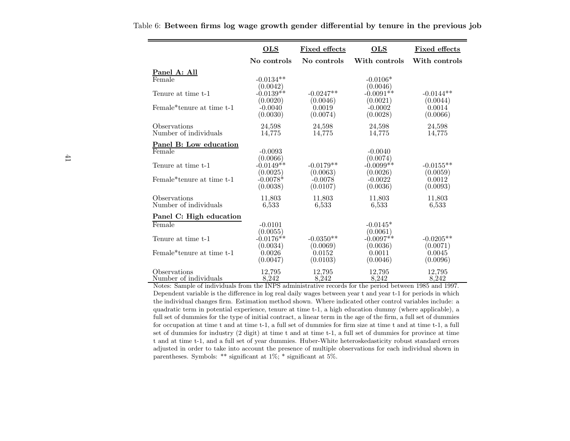|                                                                                                                                  | <b>OLS</b>              | <b>Fixed effects</b>  | <b>OLS</b>              | <b>Fixed effects</b> |
|----------------------------------------------------------------------------------------------------------------------------------|-------------------------|-----------------------|-------------------------|----------------------|
|                                                                                                                                  | No controls             | No controls           | With controls           | With controls        |
| Panel A: All                                                                                                                     |                         |                       |                         |                      |
| Female                                                                                                                           | $-0.0134**$             |                       | $-0.0106*$<br>(0.0046)  |                      |
| Tenure at time t-1                                                                                                               | (0.0042)<br>$-0.0139**$ | $-0.0247**$           | $-0.0091**$             | $-0.0144**$          |
|                                                                                                                                  | (0.0020)                | (0.0046)              | (0.0021)                | (0.0044)             |
| Female <sup>*</sup> tenure at time t-1                                                                                           | $-0.0040$<br>(0.0030)   | 0.0019<br>(0.0074)    | $-0.0002$<br>(0.0028)   | 0.0014<br>(0.0066)   |
| Observations                                                                                                                     | 24,598                  | 24,598                | 24,598                  | 24,598               |
| Number of individuals                                                                                                            | 14,775                  | 14,775                | 14,775                  | 14,775               |
| <u>Panel B: Low education</u>                                                                                                    |                         |                       |                         |                      |
| Female                                                                                                                           | $-0.0093$<br>(0.0066)   |                       | $-0.0040$<br>(0.0074)   |                      |
| Tenure at time t-1                                                                                                               | $-0.0149**$             | $-0.0179**$           | $-0.0099**$             | $-0.0155**$          |
| Female*tenure at time t-1                                                                                                        | (0.0025)<br>$-0.0078*$  | (0.0063)              | (0.0026)                | (0.0059)             |
|                                                                                                                                  | (0.0038)                | $-0.0078$<br>(0.0107) | $-0.0022$<br>(0.0036)   | 0.0012<br>(0.0093)   |
| Observations                                                                                                                     | 11,803                  | 11,803                | 11,803                  | 11,803               |
| Number of individuals                                                                                                            | 6,533                   | 6,533                 | 6,533                   | 6,533                |
| Panel C: High education                                                                                                          |                         |                       |                         |                      |
| Female                                                                                                                           | $-0.0101$               |                       | $-0.0145*$              |                      |
| Tenure at time t-1                                                                                                               | (0.0055)<br>$-0.0176**$ | $-0.0350**$           | (0.0061)<br>$-0.0097**$ | $-0.0205**$          |
|                                                                                                                                  | (0.0034)                | (0.0069)              | (0.0036)                | (0.0071)             |
| Female <sup>*</sup> tenure at time t-1                                                                                           | 0.0026                  | 0.0152                | 0.0011                  | 0.0045               |
|                                                                                                                                  | (0.0047)                | (0.0103)              | (0.0046)                | (0.0096)             |
| Observations                                                                                                                     | 12.795                  | 12,795                | 12.795                  | 12.795               |
| Number of individuals<br>Notes: Sample of individuals from the INPS administrative records for the period between 1985 and 1997. | 8,242                   | 8,242                 | 8,242                   | 8,242                |

Table 6: Between firms log wage growth gender differential by tenure in the previous job

Dependent variable is the difference in log real daily wages between year <sup>t</sup> and year t-1 for periods in which the individual changes firm. Estimation method shown. Where indicated other control variables include: <sup>a</sup> quadratic term in potential experience, tenure at time t-1, <sup>a</sup> high education dummy (where applicable), <sup>a</sup> full set of dummies for the type of initial contract, <sup>a</sup> linear term in the age of the firm, <sup>a</sup> full set of dummies for occupation at time <sup>t</sup> and at time t-1, <sup>a</sup> full set of dummies for firm size at time <sup>t</sup> and at time t-1, <sup>a</sup> full set of dummies for industry (2 digit) at time <sup>t</sup> and at time t-1, <sup>a</sup> full set of dummies for province at time <sup>t</sup> and at time t-1, and <sup>a</sup> full set of year dummies. Huber-White heteroskedasticity robust standard errors adjusted in order to take into account the presence of multiple observations for each individual shown inparentheses. Symbols: \*\* significant at 1%; \* significant at 5%.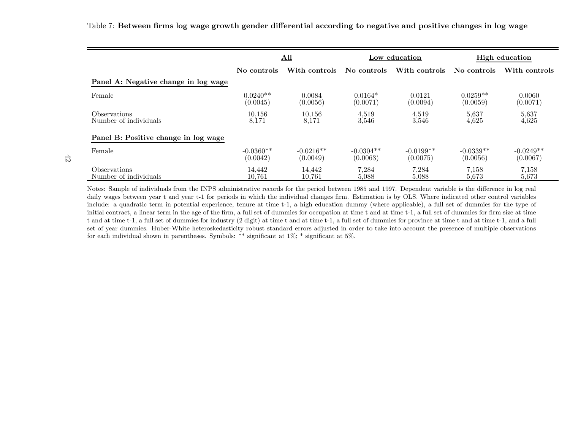|                                      |             | All           |             | Low education | <b>High education</b> |               |
|--------------------------------------|-------------|---------------|-------------|---------------|-----------------------|---------------|
|                                      | No controls | With controls | No controls | With controls | No controls           | With controls |
| Panel A: Negative change in log wage |             |               |             |               |                       |               |
| Female                               | $0.0240**$  | 0.0084        | $0.0164*$   | 0.0121        | $0.0259**$            | 0.0060        |
|                                      | (0.0045)    | (0.0056)      | (0.0071)    | (0.0094)      | (0.0059)              | (0.0071)      |
| <i>Observations</i>                  | 10,156      | 10,156        | 4,519       | 4,519         | 5,637                 | 5,637         |
| Number of individuals                | 8,171       | 8,171         | 3,546       | 3,546         | 4,625                 | 4,625         |
| Panel B: Positive change in log wage |             |               |             |               |                       |               |
| Female                               | $-0.0360**$ | $-0.0216**$   | $-0.0304**$ | $-0.0199**$   | $-0.0339**$           | $-0.0249**$   |
|                                      | (0.0042)    | (0.0049)      | (0.0063)    | (0.0075)      | (0.0056)              | (0.0067)      |
| <i>Observations</i>                  | 14.442      | 14.442        | 7,284       | 7,284         | 7,158                 | 7,158         |
| Number of individuals                | 10.761      | 10.761        | 5.088       | 5.088         | 5.673                 | 5.673         |

Table 7: Between firms log wage growth gender differential according to negative and positive changes in log wage

Notes: Sample of individuals from the INPS administrative records for the period between <sup>1985</sup> and 1997. Dependent variable is the difference in log real daily wages between year t and year t-1 for periods in which the individual changes firm. Estimation is by OLS. Where indicated other control variables include: <sup>a</sup> quadratic term in potential experience, tenure at time t-1, <sup>a</sup> high education dummy (where applicable), <sup>a</sup> full set of dummies for the type of initial contract, <sup>a</sup> linear term in the age of the firm, <sup>a</sup> full set of dummies for occupation at time <sup>t</sup> and at time t-1, <sup>a</sup> full set of dummies for firm size at time <sup>t</sup> and at time t-1, <sup>a</sup> full set of dummies for industry (2 digit) at time <sup>t</sup> and at time t-1, <sup>a</sup> full set of dummies for province at time <sup>t</sup> and at time t-1, and <sup>a</sup> full set of year dummies. Huber-White heteroskedasticity robust standard errors adjusted in order to take into account the presence of multiple observationsfor each individual shown in parentheses. Symbols: \*\* significant at 1%; \* significant at 5%.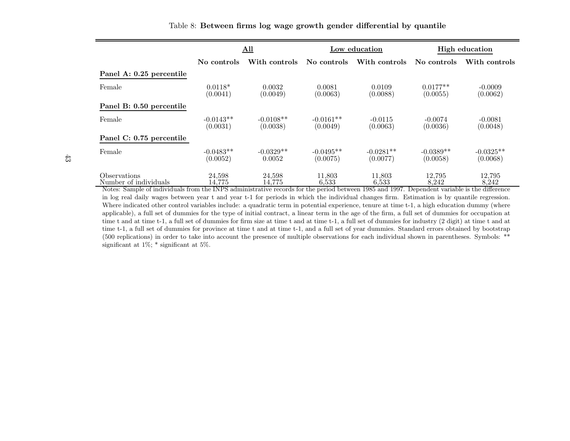|                                                                                                                                                                                       |                         | All                     |                         | Low education           | <b>High education</b>   |                         |  |
|---------------------------------------------------------------------------------------------------------------------------------------------------------------------------------------|-------------------------|-------------------------|-------------------------|-------------------------|-------------------------|-------------------------|--|
|                                                                                                                                                                                       | No controls             | With controls           | No controls             | With controls           | No controls             | With controls           |  |
| Panel A: 0.25 percentile                                                                                                                                                              |                         |                         |                         |                         |                         |                         |  |
| Female                                                                                                                                                                                | $0.0118*$<br>(0.0041)   | 0.0032<br>(0.0049)      | 0.0081<br>(0.0063)      | 0.0109<br>(0.0088)      | $0.0177**$<br>(0.0055)  | $-0.0009$<br>(0.0062)   |  |
| Panel B: 0.50 percentile                                                                                                                                                              |                         |                         |                         |                         |                         |                         |  |
| Female                                                                                                                                                                                | $-0.0143**$<br>(0.0031) | $-0.0108**$<br>(0.0038) | $-0.0161**$<br>(0.0049) | $-0.0115$<br>(0.0063)   | $-0.0074$<br>(0.0036)   | $-0.0081$<br>(0.0048)   |  |
| Panel C: 0.75 percentile                                                                                                                                                              |                         |                         |                         |                         |                         |                         |  |
| Female                                                                                                                                                                                | $-0.0483**$<br>(0.0052) | $-0.0329**$<br>0.0052   | $-0.0495**$<br>(0.0075) | $-0.0281**$<br>(0.0077) | $-0.0389**$<br>(0.0058) | $-0.0325**$<br>(0.0068) |  |
| Observations<br>Number of individuals<br>Notes: Sample of individuals from the INPS administrative records for the period between 1985 and 1997. Dependent variable is the difference | 24.598<br>14,775        | 24,598<br>14,775        | 11,803<br>6.533         | 11,803<br>6.533         | 12,795<br>8.242         | 12,795<br>8,242         |  |

 in log real daily wages between year <sup>t</sup> and year t-1 for periods in which the individual changes firm. Estimation is by quantile regression. Where indicated other control variables include: a quadratic term in potential experience, tenure at time t-1, a high education dummy (where applicable), <sup>a</sup> full set of dummies for the type of initial contract, <sup>a</sup> linear term in the age of the firm, <sup>a</sup> full set of dummies for occupation at time <sup>t</sup> and at time t-1, <sup>a</sup> full set of dummies for firm size at time <sup>t</sup> and at time t-1, <sup>a</sup> full set of dummies for industry (2 digit) at time <sup>t</sup> and at time t-1, <sup>a</sup> full set of dummies for province at time <sup>t</sup> and at time t-1, and <sup>a</sup> full set of year dummies. Standard errors obtained by bootstrap (500 replications) in order to take into account the presence of multiple observations for each individual shown in parentheses. Symbols: \*\*significant at 1%; \* significant at 5%.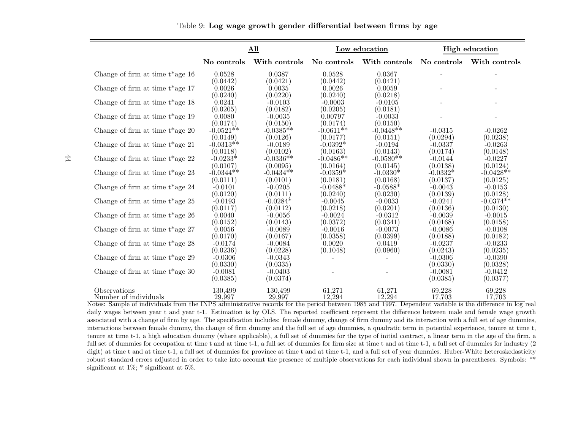|                                     |                       | All                   |                        | Low education         |                       | <b>High education</b> |
|-------------------------------------|-----------------------|-----------------------|------------------------|-----------------------|-----------------------|-----------------------|
|                                     | No controls           | With controls         | No controls            | With controls         | No controls           | With controls         |
| Change of firm at time $t^*$ age 16 | 0.0528<br>(0.0442)    | 0.0387<br>(0.0421)    | 0.0528<br>(0.0442)     | 0.0367<br>(0.0421)    |                       |                       |
| Change of firm at time $t^*$ age 17 | 0.0026<br>(0.0240)    | 0.0035<br>(0.0220)    | 0.0026<br>(0.0240)     | 0.0059<br>(0.0218)    |                       |                       |
| Change of firm at time $t^*$ age 18 | 0.0241<br>(0.0205)    | $-0.0103$<br>(0.0182) | $-0.0003$<br>(0.0205)  | $-0.0105$<br>(0.0181) |                       |                       |
| Change of firm at time $t^*$ age 19 | 0.0080<br>(0.0174)    | $-0.0035$<br>(0.0150) | 0.00797<br>(0.0174)    | $-0.0033$<br>(0.0150) |                       |                       |
| Change of firm at time $t^*$ age 20 | $-0.0521**$           | $-0.0385**$           | $-0.0611**$            | $-0.0448**$           | $-0.0315$             | $-0.0262$             |
|                                     | (0.0149)              | (0.0126)              | (0.0177)               | (0.0151)              | (0.0294)              | (0.0238)              |
| Change of firm at time $t^*$ age 21 | $-0.0313**$           | $-0.0189$             | $-0.0392*$             | $-0.0194$             | $-0.0337$             | $-0.0263$             |
|                                     | (0.0118)              | (0.0102)              | (0.0163)               | (0.0143)              | (0.0174)              | (0.0148)              |
| Change of firm at time $t^*$ age 22 | $-0.0233*$            | $-0.0336**$           | $-0.0486**$            | $-0.0580**$           | $-0.0144$             | $-0.0227$             |
|                                     | (0.0107)              | (0.0095)              | (0.0164)               | (0.0145)              | (0.0138)              | (0.0124)              |
| Change of firm at time $t^*$ age 23 | $-0.0344**$           | $-0.0434**$           | $-0.0359*$             | $-0.0330*$            | $-0.0332*$            | $-0.0428**$           |
|                                     | (0.0111)              | (0.0101)              | (0.0181)               | (0.0168)              | (0.0137)              | (0.0125)              |
| Change of firm at time $t^*$ age 24 | $-0.0101$             | $-0.0205$             | $-0.0488*$             | $-0.0588*$            | $-0.0043$             | $-0.0153$             |
|                                     | (0.0120)              | (0.0111)              | (0.0240)               | (0.0230)              | (0.0139)              | (0.0128)              |
| Change of firm at time $t^*$ age 25 | $-0.0193$             | $-0.0284*$            | $-0.0045$              | $-0.0033$             | $-0.0241$             | $-0.0374**$           |
|                                     | (0.0117)              | (0.0112)              | (0.0218)               | (0.0201)              | (0.0136)              | (0.0130)              |
| Change of firm at time $t^*$ age 26 | 0.0040                | $-0.0056$             | $-0.0024$              | $-0.0312$             | $-0.0039$             | $-0.0015$             |
|                                     | (0.0152)              | (0.0143)              | $\left( 0.0372\right)$ | (0.0341)              | (0.0168)              | (0.0158)              |
| Change of firm at time $t^*$ age 27 | 0.0056                | $-0.0089$             | $-0.0016$              | $-0.0073$             | $-0.0086$             | $-0.0108$             |
|                                     | (0.0170)              | (0.0167)              | (0.0358)               | (0.0399)              | (0.0188)              | (0.0182)              |
| Change of firm at time $t^*$ age 28 | $-0.0174$             | $-0.0084$             | 0.0020                 | 0.0419                | $-0.0237$             | $-0.0233$             |
|                                     | (0.0236)              | (0.0228)              | (0.1048)               | (0.0960)              | (0.0243)              | (0.0235)              |
| Change of firm at time $t^*$ age 29 | $-0.0306$<br>(0.0330) | $-0.0343$<br>(0.0335) |                        |                       | $-0.0306$<br>(0.0330) | $-0.0390$<br>(0.0328) |
| Change of firm at time $t^*$ age 30 | $-0.0081$<br>(0.0385) | $-0.0403$<br>(0.0374) |                        |                       | $-0.0081$<br>(0.0385) | $-0.0412$<br>(0.0377) |
| Observations                        | 130,499               | 130,499               | 61,271                 | 61,271                | 69,228                | 69,228                |
| Number of individuals               | 29,997                | 29,997                | 12,294                 | 12,294                | 17,703                | 17,703                |

Number of individuals 29,997 29,997 29,997 12,294 12,294 17,703 17,703 17,703<br>Notes: Sample of individuals from the INPS administrative records for the period between 1985 and 1997. Dependent variable is the difference in daily wages between year t and year t-1. Estimation is by OLS. The reported coefficient represent the difference between male and female wage growth associated with <sup>a</sup> change of firm by age. The specification includes: female dummy, change of firm dummy and its interaction with <sup>a</sup> full set of age dummies, interactions between female dummy, the change of firm dummy and the full set of age dummies, <sup>a</sup> quadratic term in potential experience, tenure at time t, tenure at time t-1, <sup>a</sup> high education dummy (where applicable), <sup>a</sup> full set of dummies for the type of initial contract, <sup>a</sup> linear term in the age of the firm, <sup>a</sup> full set of dummies for occupation at time <sup>t</sup> and at time t-1, <sup>a</sup> full set of dummies for firm size at time <sup>t</sup> and at time t-1, <sup>a</sup> full set of dummies for industry (2 digit) at time <sup>t</sup> and at time t-1, <sup>a</sup> full set of dummies for province at time <sup>t</sup> and at time t-1, and <sup>a</sup> full set of year dummies. Huber-White heteroskedasticity robust standard errors adjusted in order to take into account the presence of multiple observations for each individual shown in parentheses. Symbols: \*\*significant at 1%; \* significant at 5%.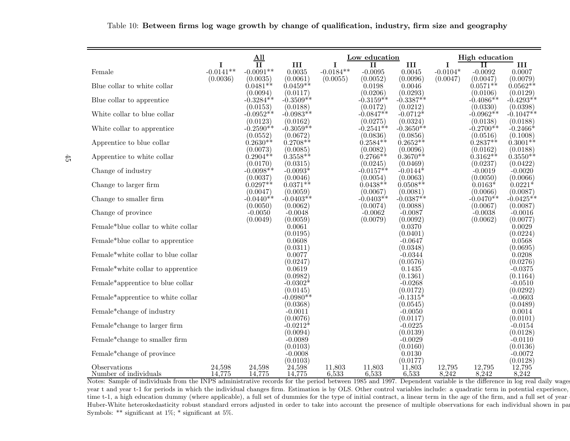|                                       |                         | $\underline{\mathrm{All}}$ |                         |                         | Low education           |                        | <b>High education</b>  |                         |                         |
|---------------------------------------|-------------------------|----------------------------|-------------------------|-------------------------|-------------------------|------------------------|------------------------|-------------------------|-------------------------|
|                                       | I                       | $\mathbf{II}$              | III                     | 1                       | $\mathbf{I}$            | III                    | I                      | п                       | III                     |
| Female                                | $-0.0141**$<br>(0.0036) | $-0.0091**$<br>(0.0035)    | 0.0035<br>(0.0061)      | $-0.0184**$<br>(0.0055) | $-0.0095$<br>(0.0052)   | 0.0045<br>(0.0096)     | $-0.0104*$<br>(0.0047) | $-0.0092$<br>(0.0047)   | 0.0007<br>(0.0079)      |
| Blue collar to white collar           |                         | $0.0481**$                 | $0.0459**$              |                         | 0.0198                  | 0.0046                 |                        | $0.0571**$              | $0.0562**$              |
|                                       |                         | (0.0094)                   | (0.0117)                |                         | (0.0206)                | (0.0293)               |                        | (0.0106)                | (0.0129)                |
| Blue collar to apprentice             |                         | $0.3284**$                 | $-0.3509**$             |                         | $-0.3159**$             | $-0.3387**$            |                        | $-0.4086**$             | $-0.4293**$             |
| White collar to blue collar           |                         | (0.0153)<br>$-0.0952**$    | (0.0188)<br>$-0.0983**$ |                         | (0.0172)<br>$-0.0847**$ | (0.0212)<br>$-0.0712*$ |                        | (0.0330)<br>$-0.0962**$ | (0.0398)<br>$-0.1047**$ |
|                                       |                         | (0.0123)                   | (0.0162)                |                         | (0.0275)                | (0.0324)               |                        | (0.0138)                | (0.0188)                |
| White collar to apprentice            |                         | $-0.2590**$                | $-0.3059**$             |                         | $-0.2541**$             | -0.3650 $^{**}$        |                        | $-0.2700**$             | $-0.2466*$              |
|                                       |                         | (0.0552)                   | (0.0672)                |                         | (0.0836)                | (0.0856)               |                        | (0.0516)                | (0.1008)                |
| Apprentice to blue collar             |                         | $0.2630**$<br>(0.0073)     | $0.2708**$<br>(0.0085)  |                         | $0.2584**$<br>(0.0082)  | $0.2652**$<br>(0.0096) |                        | $0.2837**$<br>(0.0162)  | $0.3001**$<br>(0.0188)  |
| Apprentice to white collar            |                         | $0.2904**$                 | $0.3558**$              |                         | $0.2766**$              | $0.3670**$             |                        | $0.3162**$              | $0.3550**$              |
|                                       |                         | (0.0170)                   | (0.0315)                |                         | (0.0245)                | (0.0469)               |                        | (0.0237)                | (0.0422)                |
| Change of industry                    |                         | $-0.0098**$                | $-0.0093*$              |                         | $-0.0157**$             | $-0.0144*$             |                        | $-0.0019$               | $-0.0020$               |
| Change to larger firm                 |                         | (0.0037)<br>$0.0297**$     | (0.0046)<br>$0.0371**$  |                         | (0.0054)<br>$0.0438**$  | (0.0063)<br>$0.0508**$ |                        | (0.0050)<br>$0.0163*$   | (0.0066)<br>$0.0221*$   |
|                                       |                         | (0.0047)                   | (0.0059)                |                         | (0.0067)                | (0.0081)               |                        | (0.0066)                | (0.0087)                |
| Change to smaller firm                |                         | $-0.0440**$                | $-0.0403**$             |                         | $-0.0403**$             | $\cdot 0.0387^{**}$    |                        | $-0.0470**$             | $-0.0425**$             |
| Change of province                    |                         | (0.0050)<br>$-0.0050$      | (0.0062)<br>$-0.0048$   |                         | (0.0074)<br>$-0.0062$   | (0.0088)<br>$-0.0087$  |                        | (0.0067)<br>$-0.0038$   | (0.0087)<br>$-0.0016$   |
|                                       |                         | (0.0049)                   | (0.0059)                |                         | (0.0079)                | (0.0092)               |                        | (0.0062)                | (0.0077)                |
| Female*blue collar to white collar    |                         |                            | 0.0061                  |                         |                         | 0.0370                 |                        |                         | 0.0029                  |
|                                       |                         |                            | (0.0195)                |                         |                         | (0.0401)               |                        |                         | (0.0224)                |
| Female*blue collar to apprentice      |                         |                            | 0.0608<br>(0.0311)      |                         |                         | $-0.0647$<br>(0.0348)  |                        |                         | 0.0568<br>(0.0695)      |
| Female*white collar to blue collar    |                         |                            | 0.0077                  |                         |                         | $-0.0344$              |                        |                         | 0.0208                  |
|                                       |                         |                            | (0.0247)                |                         |                         | (0.0576)               |                        |                         | (0.0276)                |
| Female*white collar to apprentice     |                         |                            | 0.0619<br>(0.0982)      |                         |                         | 0.1435<br>(0.1361)     |                        |                         | $-0.0375$<br>(0.1164)   |
| Female*apprentice to blue collar      |                         |                            | $-0.0302*$              |                         |                         | $-0.0268$              |                        |                         | $-0.0510$               |
|                                       |                         |                            | (0.0145)                |                         |                         | (0.0172)               |                        |                         | (0.0292)                |
| Female*apprentice to white collar     |                         |                            | $-0.0980**$             |                         |                         | $-0.1315*$             |                        |                         | $-0.0603$               |
| Female*change of industry             |                         |                            | (0.0368)<br>$-0.0011$   |                         |                         | (0.0545)<br>$-0.0050$  |                        |                         | (0.0489)<br>0.0014      |
|                                       |                         |                            | (0.0076)                |                         |                         | (0.0117)               |                        |                         | (0.0101)                |
| Female*change to larger firm          |                         |                            | -0.0212 $^*$            |                         |                         | $-0.0225$              |                        |                         | $-0.0154$               |
|                                       |                         |                            | (0.0094)                |                         |                         | (0.0139)               |                        |                         | (0.0128)                |
| Female*change to smaller firm         |                         |                            | $-0.0089$<br>(0.0103)   |                         |                         | $-0.0029$<br>(0.0160)  |                        |                         | $-0.0110$<br>(0.0136)   |
| Female*change of province             |                         |                            | $-0.0008$               |                         |                         | 0.0130                 |                        |                         | $-0.0072$               |
|                                       |                         |                            | (0.0103)                |                         |                         | (0.0177)               |                        |                         | (0.0128)                |
| Observations<br>Number of individuals | 24,598<br>14,775        | 24,598<br>14,775           | 24,598<br>14,775        | 11,803<br>6,533         | 11,803<br>6,533         | 11,803<br>6,533        | 12,795<br>8,242        | 12,795<br>8,242         | 12,795<br>8,242         |

Table 10: Between firms log wage growth by change of qualification, industry, firm size and geography

Number of individuals 14,775 14,775 14,775 6,533 6,533 6,533 8,242 8,242 8,242 Notes: Sample of individuals from the INPS administrative records for the period between <sup>1985</sup> and 1997. Dependent variable is the difference in log real daily wages year <sup>t</sup> and year t-1 for periods in which the individual changes firm. Estimation is by OLS. Other control variables include: <sup>a</sup> quadratic term in potential experience, time t-1, a high education dummy (where applicable), a full set of dummies for the type of initial contract, a linear term in the age of the firm, and a full set of year Huber-White heteroskedasticity robust standard errors adjusted in order to take into account the presence of multiple observations for each individual shown in parenSymbols: \*\* significant at 1%; \* significant at 5%.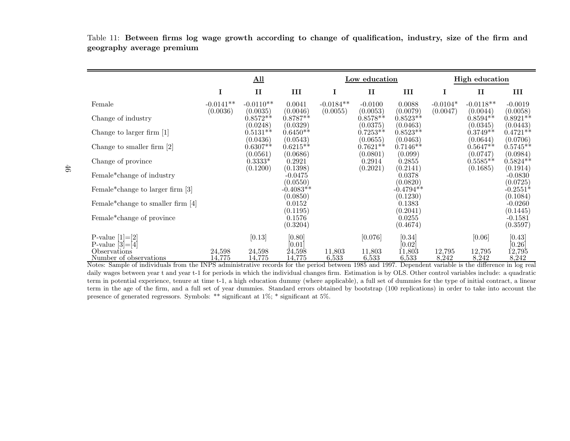Table 11: Between firms log wage growth according to change of qualification, industry, size of the firm andgeography average premium

|                                                                                                                                                          |                  | $All$                  |                                |                 | Low education          |                                |                 | <b>High education</b>  |                                   |
|----------------------------------------------------------------------------------------------------------------------------------------------------------|------------------|------------------------|--------------------------------|-----------------|------------------------|--------------------------------|-----------------|------------------------|-----------------------------------|
|                                                                                                                                                          | $\mathbf I$      | $\mathbf{I}$           | III                            | I               | $\mathbf{I}$           | III                            | I               | $\mathbf{I}$           | Ш                                 |
| Female                                                                                                                                                   | $-0.0141**$      | $-0.0110**$            | 0.0041                         | $-0.0184**$     | $-0.0100$              | 0.0088                         | $-0.0104*$      | $-0.0118**$            | $-0.0019$                         |
| Change of industry                                                                                                                                       | (0.0036)         | (0.0035)<br>$0.8572**$ | (0.0046)<br>$0.8787**$         | (0.0055)        | (0.0053)<br>$0.8578**$ | (0.0079)<br>$0.8523**$         | (0.0047)        | (0.0044)<br>$0.8594**$ | (0.0058)<br>$0.8921**$            |
| Change to larger firm [1]                                                                                                                                |                  | (0.0248)<br>$0.5131**$ | (0.0329)<br>$0.6450**$         |                 | (0.0375)<br>$0.7253**$ | (0.0463)<br>$0.8523**$         |                 | (0.0345)<br>$0.3749**$ | (0.0443)<br>$0.4721**$            |
| Change to smaller firm $[2]$                                                                                                                             |                  | (0.0436)<br>$0.6307**$ | (0.0543)<br>$0.6215**$         |                 | (0.0655)<br>$0.7621**$ | (0.0463)<br>$0.7146**$         |                 | (0.0644)<br>$0.5647**$ | (0.0706)<br>$0.5745**$            |
| Change of province                                                                                                                                       |                  | (0.0561)<br>$0.3333*$  | (0.0686)<br>0.2921             |                 | (0.0801)<br>0.2914     | (0.099)<br>0.2855              |                 | (0.0747)<br>$0.5585**$ | (0.0984)<br>$0.5824**$            |
| Female*change of industry                                                                                                                                |                  | (0.1200)               | (0.1398)<br>$-0.0475$          |                 | (0.2021)               | (0.2141)<br>0.0378             |                 | (0.1685)               | (0.1914)<br>$-0.0830$             |
| Female*change to larger firm [3]                                                                                                                         |                  |                        | (0.0550)<br>$-0.4083**$        |                 |                        | (0.0820)<br>$-0.4794**$        |                 |                        | (0.0725)<br>$-0.2551*$            |
| Female* change to smaller firm $[4]$                                                                                                                     |                  |                        | (0.0850)<br>0.0152             |                 |                        | (0.1230)<br>0.1383             |                 |                        | (0.1084)<br>$-0.0260$             |
| Female*change of province                                                                                                                                |                  |                        | (0.1195)<br>0.1576<br>(0.3204) |                 |                        | (0.2041)<br>0.0255<br>(0.4674) |                 |                        | (0.1445)<br>$-0.1581$<br>(0.3597) |
| P-value $[1]=[2]$                                                                                                                                        |                  | [0.13]                 | [0.80]                         |                 | [0.076]                | [0.34]                         |                 | [0.06]                 | [0.43]                            |
| P-value $[3]=[4]$<br>Observations<br>Number of observations                                                                                              | 24,598<br>14,775 | 24,598<br>14,775       | [0.01]<br>24,598<br>14,775     | 11,803<br>6,533 | 11,803<br>6,533        | [0.02]<br>11,803<br>6,533      | 12,795<br>8,242 | 12,795<br>8,242        | [0.26]<br>12,795<br>8,242         |
| Notes: Sample of individuals from the INPS administrative records for the period between 1985 and 1997. Dependent variable is the difference in log real |                  |                        |                                |                 |                        |                                |                 |                        |                                   |

daily wages between year t and year t-1 for periods in which the individual changes firm. Estimation is by OLS. Other control variables include: a quadratic term in potential experience, tenure at time t-1, <sup>a</sup> high education dummy (where applicable), <sup>a</sup> full set of dummies for the type of initial contract, <sup>a</sup> linear term in the age of the firm, and <sup>a</sup> full set of year dummies. Standard errors obtained by bootstrap (100 replications) in order to take into account thepresence of generated regressors. Symbols: \*\* significant at 1%; \* significant at 5%.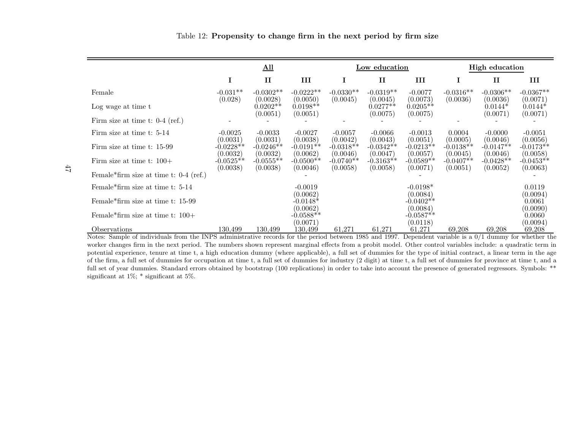|  | Table 12: Propensity to change firm in the next period by firm size |  |  |  |  |  |  |  |  |  |  |
|--|---------------------------------------------------------------------|--|--|--|--|--|--|--|--|--|--|
|--|---------------------------------------------------------------------|--|--|--|--|--|--|--|--|--|--|

|                                                             | $\underline{\mathrm{All}}$ |                                    |                                    |                                                               | Low education                      |                                     | <b>High education</b>   |                                   |                                     |
|-------------------------------------------------------------|----------------------------|------------------------------------|------------------------------------|---------------------------------------------------------------|------------------------------------|-------------------------------------|-------------------------|-----------------------------------|-------------------------------------|
|                                                             | I                          | $\mathbf{I}$                       | III                                | 1                                                             | $\mathbf{I}$                       | Ш                                   | Ι                       | $\mathbf{I}$                      | Ш                                   |
| Female                                                      | $-0.031**$                 | $-0.0302**$                        | $-0.0222**$                        | $-0.0330**$                                                   | $-0.0319**$                        | $-0.0077$                           | $-0.0316**$             | $-0.0306**$                       | $-0.0367**$                         |
| Log wage at time t                                          | (0.028)                    | (0.0028)<br>$0.0202**$<br>(0.0051) | (0.0050)<br>$0.0198**$<br>(0.0051) | (0.0045)                                                      | (0.0045)<br>$0.0277**$<br>(0.0075) | (0.0073)<br>$0.0205**$<br>(0.0075)  | (0.0036)                | (0.0036)<br>$0.0144*$<br>(0.0071) | (0.0071)<br>$0.0144*$<br>(0.0071)   |
| Firm size at time t: $0-4$ (ref.)                           |                            |                                    |                                    |                                                               |                                    |                                     |                         |                                   |                                     |
| Firm size at time t: 5-14                                   | $-0.0025$<br>(0.0031)      | $-0.0033$<br>(0.0031)              | $-0.0027$<br>(0.0038)              | $-0.0057$<br>(0.0042)                                         | $-0.0066$<br>(0.0043)              | $-0.0013$<br>(0.0051)               | 0.0004<br>(0.0005)      | $-0.0000$<br>(0.0046)             | $-0.0051$                           |
| Firm size at time t: 15-99                                  | $-0.0228**$<br>(0.0032)    | $-0.0246**$<br>(0.0032)            | $-0.0191**$<br>(0.0062)            | $-0.0318**$<br>(0.0046)                                       | $-0.0342**$<br>(0.0047)            | $-0.0213**$<br>(0.0057)             | $-0.0138**$<br>(0.0045) | $-0.0147**$<br>(0.0046)           | (0.0056)<br>$-0.0173**$<br>(0.0058) |
| Firm size at time t: $100+$                                 | $-0.0525**$<br>(0.0038)    | $-0.0555**$<br>(0.0038)            | $-0.0500**$<br>(0.0046)            | $-0.0740**$<br>(0.0058)                                       | $-0.3163**$<br>(0.0058)            | $-0.0589**$<br>(0.0071)             | $-0.0407**$<br>(0.0051) | $-0.0428**$<br>(0.0052)           | $-0.0453**$<br>(0.0063)             |
| Female*firm size at time t: $0-4$ (ref.)                    |                            |                                    |                                    |                                                               |                                    |                                     |                         |                                   |                                     |
| Female <sup>*</sup> firm size at time t: 5-14               |                            |                                    | $-0.0019$                          |                                                               |                                    | $-0.0198*$                          |                         |                                   | 0.0119                              |
| Female <sup>*</sup> firm size at time t: 15-99              |                            |                                    | (0.0062)<br>$-0.0148*$<br>(0.0062) |                                                               |                                    | (0.0084)<br>$-0.0402**$<br>(0.0084) |                         |                                   | (0.0094)<br>0.0061<br>(0.0090)      |
| Female*firm size at time t: $100+$                          |                            |                                    | $-0.0588**$<br>(0.0071)            |                                                               |                                    | $-0.0587**$<br>(0.0118)             |                         |                                   | 0.0060<br>(0.0094)                  |
| Observations<br>$c \cdot 1 \cdot 1 \cdot 1$<br><b>TAIDO</b> | 130.499                    | 130,499                            | 130,499                            | 61,271<br>$\cdot$ $\cdot$ $\cdot$ $\cdot$<br>100 <sub>5</sub> | 61,271<br>1.100 <sub>7</sub>       | 61,271                              | 69,208                  | 69,208<br>$\bigcap$ $\bigcap$     | 69,208                              |

Notes: Sample of individuals from the INPS administrative records for the period between <sup>1985</sup> and 1997. Dependent variable is <sup>a</sup> 0/1 dummy for whether the worker changes firm in the next period. The numbers shown represent marginal effects from <sup>a</sup> probit model. Other control variables include: <sup>a</sup> quadratic term in potential experience, tenure at time t, <sup>a</sup> high education dummy (where applicable), <sup>a</sup> full set of dummies for the type of initial contract, <sup>a</sup> linear term in the age of the firm, <sup>a</sup> full set of dummies for occupation at time t, <sup>a</sup> full set of dummies for industry (2 digit) at time t, <sup>a</sup> full set of dummies for province at time t, and <sup>a</sup> full set of year dummies. Standard errors obtained by bootstrap (100 replications) in order to take into account the presence of generated regressors. Symbols: \*\*significant at  $1\%$ ; \* significant at 5%.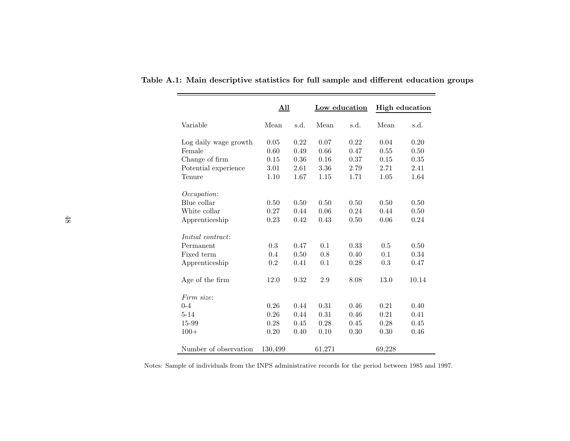|                          | <u>All</u> |      | Low education |      | <b>High education</b> |       |  |
|--------------------------|------------|------|---------------|------|-----------------------|-------|--|
| Variable                 | Mean       | s.d. | Mean          | s.d. | Mean                  | s.d.  |  |
| Log daily wage growth    | 0.05       | 0.22 | 0.07          | 0.22 | 0.04                  | 0.20  |  |
| Female                   | 0.60       | 0.49 | 0.66          | 0.47 | 0.55                  | 0.50  |  |
| Change of firm           | 0.15       | 0.36 | 0.16          | 0.37 | 0.15                  | 0.35  |  |
| Potential experience     | 3.01       | 2.61 | 3.36          | 2.79 | 2.71                  | 2.41  |  |
| Tenure                   | 1.10       | 1.67 | 1.15          | 1.71 | 1.05                  | 1.64  |  |
| <i>Occupation:</i>       |            |      |               |      |                       |       |  |
| Blue collar              | 0.50       | 0.50 | 0.50          | 0.50 | 0.50                  | 0.50  |  |
| White collar             | 0.27       | 0.44 | 0.06          | 0.24 | 0.44                  | 0.50  |  |
| Apprenticeship           | 0.23       | 0.42 | 0.43          | 0.50 | 0.06                  | 0.24  |  |
| <i>Initial contract:</i> |            |      |               |      |                       |       |  |
| Permanent                | 0.3        | 0.47 | 0.1           | 0.33 | 0.5                   | 0.50  |  |
| Fixed term               | 0.4        | 0.50 | 0.8           | 0.40 | 0.1                   | 0.34  |  |
| Apprenticeship           | 0.2        | 0.41 | 0.1           | 0.28 | 0.3                   | 0.47  |  |
| Age of the firm          | 12.0       | 9.32 | 2.9           | 8.08 | 13.0                  | 10.14 |  |
| Firm size:               |            |      |               |      |                       |       |  |
| $0 - 4$                  | 0.26       | 0.44 | 0.31          | 0.46 | 0.21                  | 0.40  |  |
| $5 - 14$                 | 0.26       | 0.44 | 0.31          | 0.46 | 0.21                  | 0.41  |  |
| 15-99                    | 0.28       | 0.45 | 0.28          | 0.45 | 0.28                  | 0.45  |  |
| $100+$                   | 0.20       | 0.40 | 0.10          | 0.30 | 0.30                  | 0.46  |  |
| Number of observation    | 130,499    |      | 61,271        |      | 69,228                |       |  |

Table A.1: Main descriptive statistics for full sample and different education groups

i<br>L

Notes: Sample of individuals from the INPS administrative records for the period between <sup>1985</sup> and 1997.